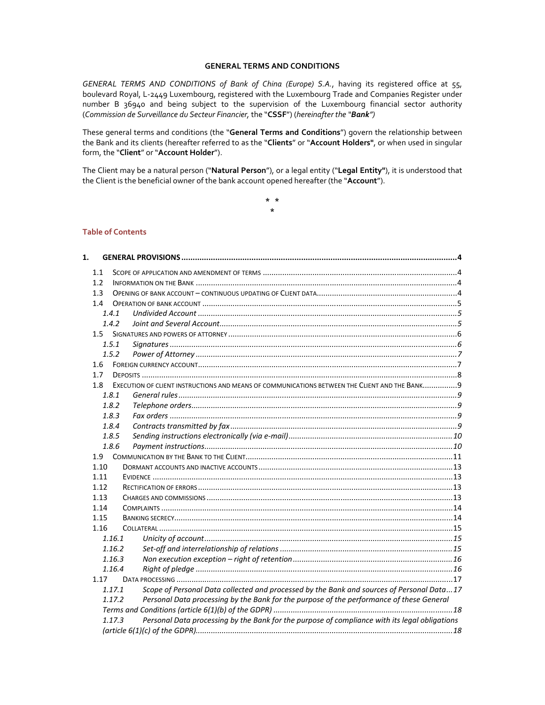### **GENERAL TERMS AND CONDITIONS**

*GENERAL TERMS AND CONDITIONS of Bank of China (Europe) S.A.*, having its registered office at 55, boulevard Royal, L‐2449 Luxembourg, registered with the Luxembourg Trade and Companies Register under number B 36940 and being subject to the supervision of the Luxembourg financial sector authority (*Commission de Surveillance du Secteur Financier,* the "**CSSF**") (*hereinafter the "Bank")*

These general terms and conditions (the "**General Terms and Conditions**") govern the relationship between the Bank and its clients (hereafter referred to as the "**Clients**" or "**Account Holders"**, or when used in singular form, the "**Client**" or "**Account Holder**").

The Client may be a natural person ("**Natural Person**"), or a legal entity ("**Legal Entity"**), it is understood that the Client is the beneficial owner of the bank account opened hereafter (the "**Account**").

> **\* \* \***

# **Table of Contents**

| 1. |        |                                                                                                |  |
|----|--------|------------------------------------------------------------------------------------------------|--|
|    | 1.1    |                                                                                                |  |
|    | 1.2    |                                                                                                |  |
|    | 1.3    |                                                                                                |  |
|    | 1.4    |                                                                                                |  |
|    | 1.4.1  |                                                                                                |  |
|    | 1.4.2  |                                                                                                |  |
|    |        |                                                                                                |  |
|    | 1.5.1  |                                                                                                |  |
|    | 1.5.2  |                                                                                                |  |
|    | 1.6    |                                                                                                |  |
|    | 1.7    |                                                                                                |  |
|    | 1.8    | EXECUTION OF CLIENT INSTRUCTIONS AND MEANS OF COMMUNICATIONS BETWEEN THE CLIENT AND THE BANK 9 |  |
|    | 1.8.1  |                                                                                                |  |
|    | 1.8.2  |                                                                                                |  |
|    | 1.8.3  |                                                                                                |  |
|    | 1.8.4  |                                                                                                |  |
|    | 1.8.5  |                                                                                                |  |
|    | 1.8.6  |                                                                                                |  |
|    | 1.9    |                                                                                                |  |
|    | 1.10   |                                                                                                |  |
|    | 1.11   |                                                                                                |  |
|    | 1.12   |                                                                                                |  |
|    | 1.13   |                                                                                                |  |
|    | 1.14   |                                                                                                |  |
|    | 1.15   |                                                                                                |  |
|    | 1.16   |                                                                                                |  |
|    | 1.16.1 |                                                                                                |  |
|    | 1.16.2 |                                                                                                |  |
|    | 1.16.3 |                                                                                                |  |
|    | 1.16.4 |                                                                                                |  |
|    | 1.17   |                                                                                                |  |
|    | 1.17.1 | Scope of Personal Data collected and processed by the Bank and sources of Personal Data17      |  |
|    | 1.17.2 | Personal Data processing by the Bank for the purpose of the performance of these General       |  |
|    |        |                                                                                                |  |
|    | 1.17.3 | Personal Data processing by the Bank for the purpose of compliance with its legal obligations  |  |
|    |        |                                                                                                |  |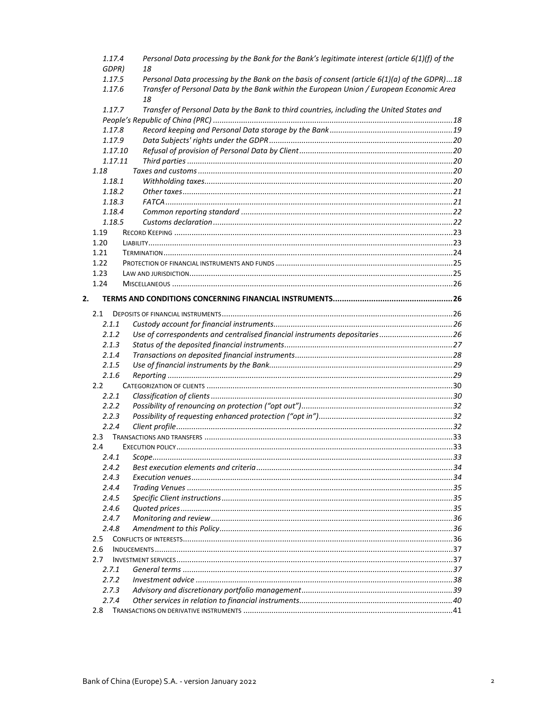| 1.17.4          | Personal Data processing by the Bank for the Bank's legitimate interest (article 6(1)(f) of the<br>18 |  |
|-----------------|-------------------------------------------------------------------------------------------------------|--|
| GDPR)<br>1.17.5 | Personal Data processing by the Bank on the basis of consent (article 6(1)(a) of the GDPR)18          |  |
|                 |                                                                                                       |  |
| 1.17.6          | Transfer of Personal Data by the Bank within the European Union / European Economic Area<br>18        |  |
| 1.17.7          | Transfer of Personal Data by the Bank to third countries, including the United States and             |  |
|                 |                                                                                                       |  |
| 1.17.8          |                                                                                                       |  |
| 1.17.9          |                                                                                                       |  |
| 1.17.10         |                                                                                                       |  |
| 1.17.11         |                                                                                                       |  |
| 1.18            |                                                                                                       |  |
| 1.18.1          |                                                                                                       |  |
| 1.18.2          |                                                                                                       |  |
| 1.18.3          |                                                                                                       |  |
| 1.18.4          |                                                                                                       |  |
| 1.18.5          |                                                                                                       |  |
| 1.19            |                                                                                                       |  |
| 1.20            |                                                                                                       |  |
| 1.21            |                                                                                                       |  |
| 1.22            |                                                                                                       |  |
| 1.23            |                                                                                                       |  |
| 1.24            |                                                                                                       |  |
|                 |                                                                                                       |  |
| 2.              |                                                                                                       |  |
| 2.1             |                                                                                                       |  |
| 2.1.1           |                                                                                                       |  |
| 2.1.2           | Use of correspondents and centralised financial instruments depositaries26                            |  |
| 2.1.3           |                                                                                                       |  |
| 2.1.4           |                                                                                                       |  |
| 2.1.5           |                                                                                                       |  |
| 2.1.6           |                                                                                                       |  |
| $2.2^{\circ}$   |                                                                                                       |  |
| 2.2.1           |                                                                                                       |  |
| 2.2.2           |                                                                                                       |  |
| 2.2.3           |                                                                                                       |  |
| 2.2.4           |                                                                                                       |  |
| 2.3             |                                                                                                       |  |
| 2.4             |                                                                                                       |  |
| 2.4.1           |                                                                                                       |  |
| 2.4.2           |                                                                                                       |  |
| 2.4.3           |                                                                                                       |  |
| 2.4.4           |                                                                                                       |  |
| 2.4.5           |                                                                                                       |  |
|                 |                                                                                                       |  |
| 2.4.6           |                                                                                                       |  |
| 2.4.7           |                                                                                                       |  |
| 2.4.8           |                                                                                                       |  |
| 2.5             |                                                                                                       |  |
| 2.6             |                                                                                                       |  |
| 2.7             |                                                                                                       |  |
| 2.7.1           |                                                                                                       |  |
| 2.7.2           |                                                                                                       |  |
| 2.7.3           |                                                                                                       |  |
| 2.7.4           |                                                                                                       |  |
| 2.8             |                                                                                                       |  |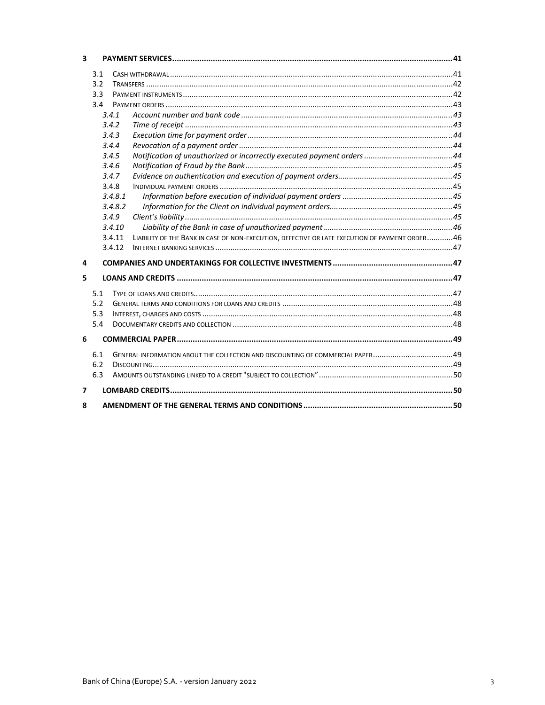| $\overline{\mathbf{3}}$ |            |         |                                                                                                |  |  |
|-------------------------|------------|---------|------------------------------------------------------------------------------------------------|--|--|
|                         | 3.1        |         |                                                                                                |  |  |
|                         | 3.2<br>3.3 |         |                                                                                                |  |  |
|                         |            |         |                                                                                                |  |  |
|                         | 3.4        |         |                                                                                                |  |  |
|                         | 3.4.1      |         |                                                                                                |  |  |
|                         |            | 3.4.2   |                                                                                                |  |  |
|                         |            | 3.4.3   |                                                                                                |  |  |
|                         |            | 3.4.4   |                                                                                                |  |  |
|                         |            | 3.4.5   |                                                                                                |  |  |
|                         |            | 3.4.6   |                                                                                                |  |  |
|                         |            | 3.4.7   |                                                                                                |  |  |
|                         |            | 3.4.8   |                                                                                                |  |  |
|                         |            | 3.4.8.1 |                                                                                                |  |  |
|                         |            | 3.4.8.2 |                                                                                                |  |  |
|                         |            | 3.4.9   |                                                                                                |  |  |
|                         |            | 3.4.10  |                                                                                                |  |  |
|                         |            | 3.4.11  | LIABILITY OF THE BANK IN CASE OF NON-EXECUTION, DEFECTIVE OR LATE EXECUTION OF PAYMENT ORDER46 |  |  |
|                         |            | 3.4.12  |                                                                                                |  |  |
| 4                       |            |         |                                                                                                |  |  |
| 5                       |            |         |                                                                                                |  |  |
|                         | 5.1        |         |                                                                                                |  |  |
| 5.2<br>5.3              |            |         |                                                                                                |  |  |
|                         |            |         |                                                                                                |  |  |
|                         | 5.4        |         |                                                                                                |  |  |
| 6                       |            |         |                                                                                                |  |  |
|                         | 6.1        |         | GENERAL INFORMATION ABOUT THE COLLECTION AND DISCOUNTING OF COMMERCIAL PAPER49                 |  |  |
|                         | 6.2        |         |                                                                                                |  |  |
|                         | 6.3        |         |                                                                                                |  |  |
| 7                       |            |         |                                                                                                |  |  |
| 8                       |            |         |                                                                                                |  |  |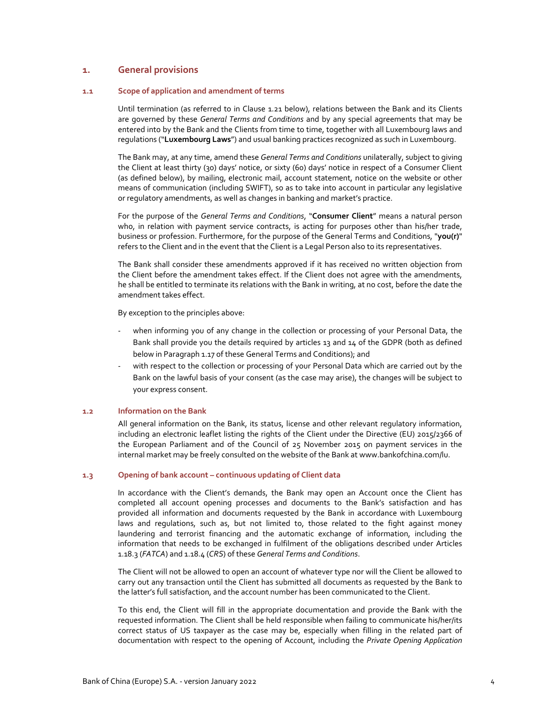# **1. General provisions**

### **1.1 Scope of application and amendment of terms**

Until termination (as referred to in Clause 1.21 below), relations between the Bank and its Clients are governed by these *General Terms and Conditions* and by any special agreements that may be entered into by the Bank and the Clients from time to time, together with all Luxembourg laws and regulations ("**Luxembourg Laws**") and usual banking practices recognized as such in Luxembourg.

The Bank may, at any time, amend these *General Terms and Conditions* unilaterally, subject to giving the Client at least thirty (30) days' notice, or sixty (60) days' notice in respect of a Consumer Client (as defined below), by mailing, electronic mail, account statement, notice on the website or other means of communication (including SWIFT), so as to take into account in particular any legislative or regulatory amendments, as well as changes in banking and market's practice.

For the purpose of the *General Terms and Conditions*, "**Consumer Client**" means a natural person who, in relation with payment service contracts, is acting for purposes other than his/her trade, business or profession. Furthermore, for the purpose of the General Terms and Conditions, "**you(r)**" refers to the Client and in the event that the Client is a Legal Person also to its representatives.

The Bank shall consider these amendments approved if it has received no written objection from the Client before the amendment takes effect. If the Client does not agree with the amendments, he shall be entitled to terminate its relations with the Bank in writing, at no cost, before the date the amendment takes effect.

By exception to the principles above:

- when informing you of any change in the collection or processing of your Personal Data, the Bank shall provide you the details required by articles 13 and 14 of the GDPR (both as defined below in Paragraph 1.17 of these General Terms and Conditions); and
- with respect to the collection or processing of your Personal Data which are carried out by the Bank on the lawful basis of your consent (as the case may arise), the changes will be subject to your express consent.

## **1.2 Information on the Bank**

All general information on the Bank, its status, license and other relevant regulatory information, including an electronic leaflet listing the rights of the Client under the Directive (EU) 2015/2366 of the European Parliament and of the Council of 25 November 2015 on payment services in the internal market may be freely consulted on the website of the Bank at www.bankofchina.com/lu.

## **1.3 Opening of bank account – continuous updating of Client data**

In accordance with the Client's demands, the Bank may open an Account once the Client has completed all account opening processes and documents to the Bank's satisfaction and has provided all information and documents requested by the Bank in accordance with Luxembourg laws and regulations, such as, but not limited to, those related to the fight against money laundering and terrorist financing and the automatic exchange of information, including the information that needs to be exchanged in fulfilment of the obligations described under Articles 1.18.3 (*FATCA*) and 1.18.4 (*CRS*) of these *General Terms and Conditions*.

The Client will not be allowed to open an account of whatever type nor will the Client be allowed to carry out any transaction until the Client has submitted all documents as requested by the Bank to the latter's full satisfaction, and the account number has been communicated to the Client.

To this end, the Client will fill in the appropriate documentation and provide the Bank with the requested information. The Client shall be held responsible when failing to communicate his/her/its correct status of US taxpayer as the case may be, especially when filling in the related part of documentation with respect to the opening of Account, including the *Private Opening Application*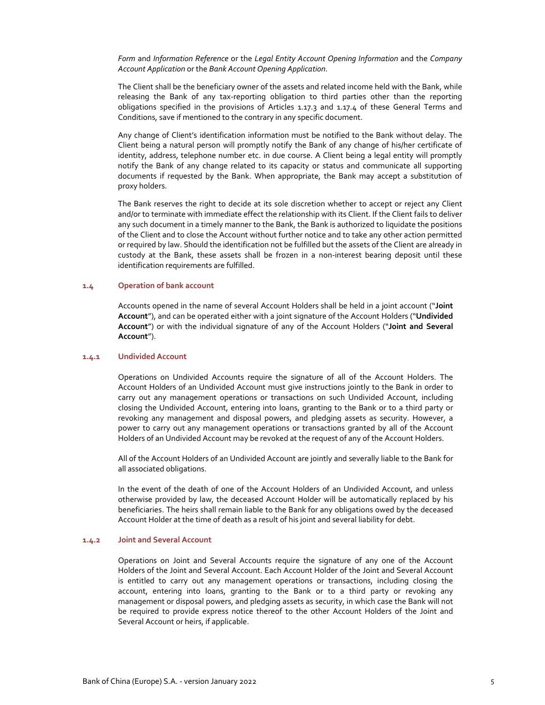*Form* and *Information Reference* or the *Legal Entity Account Opening Information* and the *Company Account Application* or the *Bank Account Opening Application*.

The Client shall be the beneficiary owner of the assets and related income held with the Bank, while releasing the Bank of any tax-reporting obligation to third parties other than the reporting obligations specified in the provisions of Articles 1.17.3 and 1.17.4 of these General Terms and Conditions, save if mentioned to the contrary in any specific document.

Any change of Client's identification information must be notified to the Bank without delay. The Client being a natural person will promptly notify the Bank of any change of his/her certificate of identity, address, telephone number etc. in due course. A Client being a legal entity will promptly notify the Bank of any change related to its capacity or status and communicate all supporting documents if requested by the Bank. When appropriate, the Bank may accept a substitution of proxy holders.

The Bank reserves the right to decide at its sole discretion whether to accept or reject any Client and/or to terminate with immediate effect the relationship with its Client. If the Client fails to deliver any such document in a timely manner to the Bank, the Bank is authorized to liquidate the positions of the Client and to close the Account without further notice and to take any other action permitted or required by law. Should the identification not be fulfilled but the assets of the Client are already in custody at the Bank, these assets shall be frozen in a non‐interest bearing deposit until these identification requirements are fulfilled.

#### **1.4 Operation of bank account**

Accounts opened in the name of several Account Holders shall be held in a joint account ("**Joint Account**"), and can be operated either with a joint signature of the Account Holders ("**Undivided Account**") or with the individual signature of any of the Account Holders ("**Joint and Several Account**").

### **1.4.1 Undivided Account**

Operations on Undivided Accounts require the signature of all of the Account Holders. The Account Holders of an Undivided Account must give instructions jointly to the Bank in order to carry out any management operations or transactions on such Undivided Account, including closing the Undivided Account, entering into loans, granting to the Bank or to a third party or revoking any management and disposal powers, and pledging assets as security. However, a power to carry out any management operations or transactions granted by all of the Account Holders of an Undivided Account may be revoked at the request of any of the Account Holders.

All of the Account Holders of an Undivided Account are jointly and severally liable to the Bank for all associated obligations.

In the event of the death of one of the Account Holders of an Undivided Account, and unless otherwise provided by law, the deceased Account Holder will be automatically replaced by his beneficiaries. The heirs shall remain liable to the Bank for any obligations owed by the deceased Account Holder at the time of death as a result of his joint and several liability for debt.

### **1.4.2 Joint and Several Account**

Operations on Joint and Several Accounts require the signature of any one of the Account Holders of the Joint and Several Account. Each Account Holder of the Joint and Several Account is entitled to carry out any management operations or transactions, including closing the account, entering into loans, granting to the Bank or to a third party or revoking any management or disposal powers, and pledging assets as security, in which case the Bank will not be required to provide express notice thereof to the other Account Holders of the Joint and Several Account or heirs, if applicable.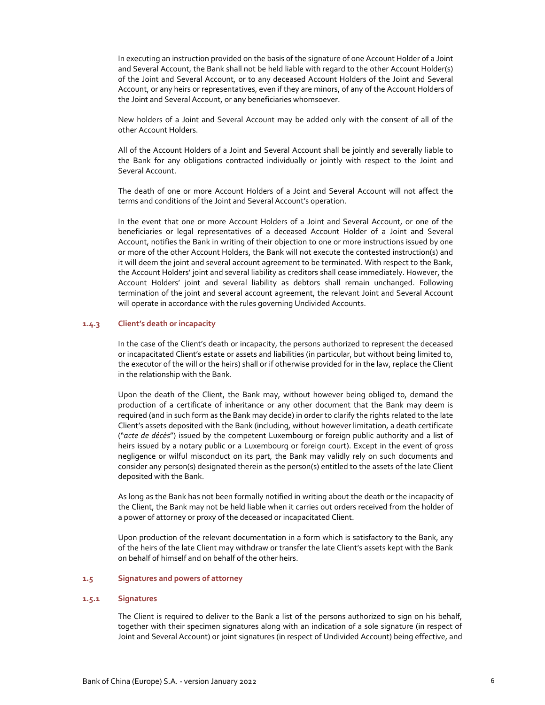In executing an instruction provided on the basis of the signature of one Account Holder of a Joint and Several Account, the Bank shall not be held liable with regard to the other Account Holder(s) of the Joint and Several Account, or to any deceased Account Holders of the Joint and Several Account, or any heirs or representatives, even if they are minors, of any of the Account Holders of the Joint and Several Account, or any beneficiaries whomsoever.

New holders of a Joint and Several Account may be added only with the consent of all of the other Account Holders.

All of the Account Holders of a Joint and Several Account shall be jointly and severally liable to the Bank for any obligations contracted individually or jointly with respect to the Joint and Several Account.

The death of one or more Account Holders of a Joint and Several Account will not affect the terms and conditions of the Joint and Several Account's operation.

In the event that one or more Account Holders of a Joint and Several Account, or one of the beneficiaries or legal representatives of a deceased Account Holder of a Joint and Several Account, notifies the Bank in writing of their objection to one or more instructions issued by one or more of the other Account Holders, the Bank will not execute the contested instruction(s) and it will deem the joint and several account agreement to be terminated. With respect to the Bank, the Account Holders' joint and several liability as creditors shall cease immediately. However, the Account Holders' joint and several liability as debtors shall remain unchanged. Following termination of the joint and several account agreement, the relevant Joint and Several Account will operate in accordance with the rules governing Undivided Accounts.

#### **1.4.3 Client's death or incapacity**

In the case of the Client's death or incapacity, the persons authorized to represent the deceased or incapacitated Client's estate or assets and liabilities (in particular, but without being limited to, the executor of the will or the heirs) shall or if otherwise provided for in the law, replace the Client in the relationship with the Bank.

Upon the death of the Client, the Bank may, without however being obliged to, demand the production of a certificate of inheritance or any other document that the Bank may deem is required (and in such form as the Bank may decide) in order to clarify the rights related to the late Client's assets deposited with the Bank (including, without however limitation, a death certificate ("*acte de décès*") issued by the competent Luxembourg or foreign public authority and a list of heirs issued by a notary public or a Luxembourg or foreign court). Except in the event of gross negligence or wilful misconduct on its part, the Bank may validly rely on such documents and consider any person(s) designated therein as the person(s) entitled to the assets of the late Client deposited with the Bank.

As long as the Bank has not been formally notified in writing about the death or the incapacity of the Client, the Bank may not be held liable when it carries out orders received from the holder of a power of attorney or proxy of the deceased or incapacitated Client.

Upon production of the relevant documentation in a form which is satisfactory to the Bank, any of the heirs of the late Client may withdraw or transfer the late Client's assets kept with the Bank on behalf of himself and on behalf of the other heirs.

## **1.5 Signatures and powers of attorney**

#### **1.5.1 Signatures**

The Client is required to deliver to the Bank a list of the persons authorized to sign on his behalf, together with their specimen signatures along with an indication of a sole signature (in respect of Joint and Several Account) or joint signatures (in respect of Undivided Account) being effective, and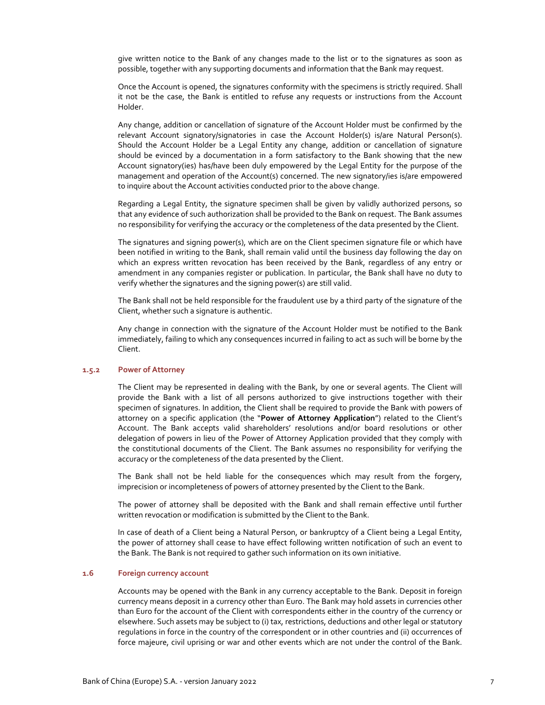give written notice to the Bank of any changes made to the list or to the signatures as soon as possible, together with any supporting documents and information that the Bank may request.

Once the Account is opened, the signatures conformity with the specimens is strictly required. Shall it not be the case, the Bank is entitled to refuse any requests or instructions from the Account Holder.

Any change, addition or cancellation of signature of the Account Holder must be confirmed by the relevant Account signatory/signatories in case the Account Holder(s) is/are Natural Person(s). Should the Account Holder be a Legal Entity any change, addition or cancellation of signature should be evinced by a documentation in a form satisfactory to the Bank showing that the new Account signatory(ies) has/have been duly empowered by the Legal Entity for the purpose of the management and operation of the Account(s) concerned. The new signatory/ies is/are empowered to inquire about the Account activities conducted prior to the above change.

Regarding a Legal Entity, the signature specimen shall be given by validly authorized persons, so that any evidence of such authorization shall be provided to the Bank on request. The Bank assumes no responsibility for verifying the accuracy or the completeness of the data presented by the Client.

The signatures and signing power(s), which are on the Client specimen signature file or which have been notified in writing to the Bank, shall remain valid until the business day following the day on which an express written revocation has been received by the Bank, regardless of any entry or amendment in any companies register or publication. In particular, the Bank shall have no duty to verify whether the signatures and the signing power(s) are still valid.

The Bank shall not be held responsible for the fraudulent use by a third party of the signature of the Client, whether such a signature is authentic.

Any change in connection with the signature of the Account Holder must be notified to the Bank immediately, failing to which any consequences incurred in failing to act as such will be borne by the Client.

## **1.5.2 Power of Attorney**

The Client may be represented in dealing with the Bank, by one or several agents. The Client will provide the Bank with a list of all persons authorized to give instructions together with their specimen of signatures. In addition, the Client shall be required to provide the Bank with powers of attorney on a specific application (the "**Power of Attorney Application**") related to the Client's Account. The Bank accepts valid shareholders' resolutions and/or board resolutions or other delegation of powers in lieu of the Power of Attorney Application provided that they comply with the constitutional documents of the Client. The Bank assumes no responsibility for verifying the accuracy or the completeness of the data presented by the Client.

The Bank shall not be held liable for the consequences which may result from the forgery, imprecision or incompleteness of powers of attorney presented by the Client to the Bank.

The power of attorney shall be deposited with the Bank and shall remain effective until further written revocation or modification is submitted by the Client to the Bank.

In case of death of a Client being a Natural Person, or bankruptcy of a Client being a Legal Entity, the power of attorney shall cease to have effect following written notification of such an event to the Bank. The Bank is not required to gather such information on its own initiative.

## **1.6 Foreign currency account**

Accounts may be opened with the Bank in any currency acceptable to the Bank. Deposit in foreign currency means deposit in a currency other than Euro. The Bank may hold assets in currencies other than Euro for the account of the Client with correspondents either in the country of the currency or elsewhere. Such assets may be subject to (i) tax, restrictions, deductions and other legal or statutory regulations in force in the country of the correspondent or in other countries and (ii) occurrences of force majeure, civil uprising or war and other events which are not under the control of the Bank.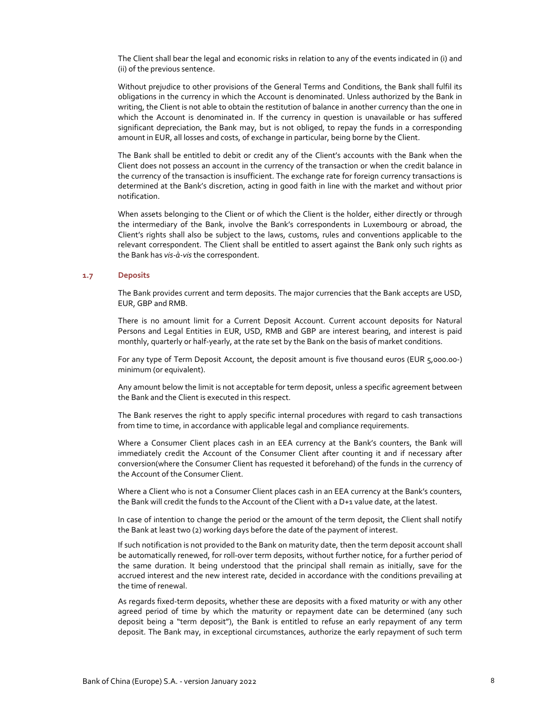The Client shall bear the legal and economic risks in relation to any of the events indicated in (i) and (ii) of the previous sentence.

Without prejudice to other provisions of the General Terms and Conditions, the Bank shall fulfil its obligations in the currency in which the Account is denominated. Unless authorized by the Bank in writing, the Client is not able to obtain the restitution of balance in another currency than the one in which the Account is denominated in. If the currency in question is unavailable or has suffered significant depreciation, the Bank may, but is not obliged, to repay the funds in a corresponding amount in EUR, all losses and costs, of exchange in particular, being borne by the Client.

The Bank shall be entitled to debit or credit any of the Client's accounts with the Bank when the Client does not possess an account in the currency of the transaction or when the credit balance in the currency of the transaction is insufficient. The exchange rate for foreign currency transactions is determined at the Bank's discretion, acting in good faith in line with the market and without prior notification.

When assets belonging to the Client or of which the Client is the holder, either directly or through the intermediary of the Bank, involve the Bank's correspondents in Luxembourg or abroad, the Client's rights shall also be subject to the laws, customs, rules and conventions applicable to the relevant correspondent. The Client shall be entitled to assert against the Bank only such rights as the Bank has *vis‐à‐vis* the correspondent.

## **1.7 Deposits**

The Bank provides current and term deposits. The major currencies that the Bank accepts are USD, EUR, GBP and RMB.

There is no amount limit for a Current Deposit Account. Current account deposits for Natural Persons and Legal Entities in EUR, USD, RMB and GBP are interest bearing, and interest is paid monthly, quarterly or half-yearly, at the rate set by the Bank on the basis of market conditions.

For any type of Term Deposit Account, the deposit amount is five thousand euros (EUR 5,000.00‐) minimum (or equivalent).

Any amount below the limit is not acceptable for term deposit, unless a specific agreement between the Bank and the Client is executed in this respect.

The Bank reserves the right to apply specific internal procedures with regard to cash transactions from time to time, in accordance with applicable legal and compliance requirements.

Where a Consumer Client places cash in an EEA currency at the Bank's counters, the Bank will immediately credit the Account of the Consumer Client after counting it and if necessary after conversion(where the Consumer Client has requested it beforehand) of the funds in the currency of the Account of the Consumer Client.

Where a Client who is not a Consumer Client places cash in an EEA currency at the Bank's counters, the Bank will credit the funds to the Account of the Client with a D+1 value date, at the latest.

In case of intention to change the period or the amount of the term deposit, the Client shall notify the Bank at least two (2) working days before the date of the payment of interest.

If such notification is not provided to the Bank on maturity date, then the term deposit account shall be automatically renewed, for roll-over term deposits, without further notice, for a further period of the same duration. It being understood that the principal shall remain as initially, save for the accrued interest and the new interest rate, decided in accordance with the conditions prevailing at the time of renewal.

As regards fixed‐term deposits, whether these are deposits with a fixed maturity or with any other agreed period of time by which the maturity or repayment date can be determined (any such deposit being a "term deposit"), the Bank is entitled to refuse an early repayment of any term deposit. The Bank may, in exceptional circumstances, authorize the early repayment of such term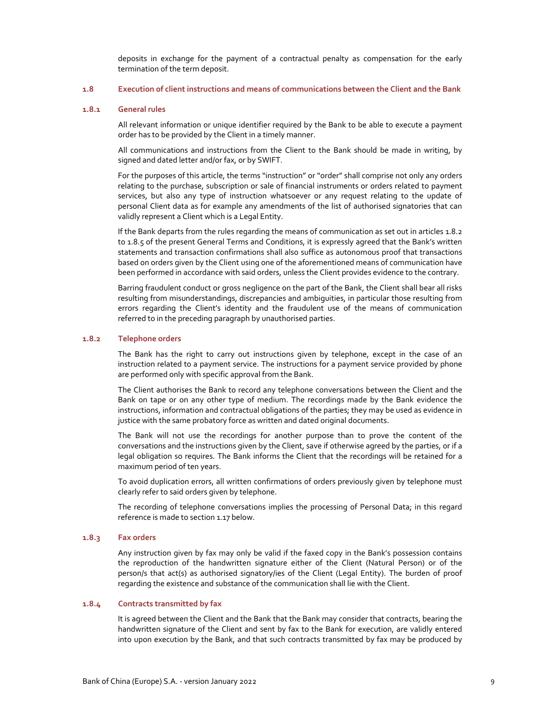deposits in exchange for the payment of a contractual penalty as compensation for the early termination of the term deposit.

#### **1.8 Execution of client instructions and means of communications between the Client and the Bank**

### **1.8.1 General rules**

All relevant information or unique identifier required by the Bank to be able to execute a payment order has to be provided by the Client in a timely manner.

All communications and instructions from the Client to the Bank should be made in writing, by signed and dated letter and/or fax, or by SWIFT.

For the purposes of this article, the terms "instruction" or "order" shall comprise not only any orders relating to the purchase, subscription or sale of financial instruments or orders related to payment services, but also any type of instruction whatsoever or any request relating to the update of personal Client data as for example any amendments of the list of authorised signatories that can validly represent a Client which is a Legal Entity.

If the Bank departs from the rules regarding the means of communication as set out in articles 1.8.2 to 1.8.5 of the present General Terms and Conditions, it is expressly agreed that the Bank's written statements and transaction confirmations shall also suffice as autonomous proof that transactions based on orders given by the Client using one of the aforementioned means of communication have been performed in accordance with said orders, unless the Client provides evidence to the contrary.

Barring fraudulent conduct or gross negligence on the part of the Bank, the Client shall bear all risks resulting from misunderstandings, discrepancies and ambiguities, in particular those resulting from errors regarding the Client's identity and the fraudulent use of the means of communication referred to in the preceding paragraph by unauthorised parties.

### **1.8.2 Telephone orders**

The Bank has the right to carry out instructions given by telephone, except in the case of an instruction related to a payment service. The instructions for a payment service provided by phone are performed only with specific approval from the Bank.

The Client authorises the Bank to record any telephone conversations between the Client and the Bank on tape or on any other type of medium. The recordings made by the Bank evidence the instructions, information and contractual obligations of the parties; they may be used as evidence in justice with the same probatory force as written and dated original documents.

The Bank will not use the recordings for another purpose than to prove the content of the conversations and the instructions given by the Client, save if otherwise agreed by the parties, or if a legal obligation so requires. The Bank informs the Client that the recordings will be retained for a maximum period of ten years.

To avoid duplication errors, all written confirmations of orders previously given by telephone must clearly refer to said orders given by telephone.

The recording of telephone conversations implies the processing of Personal Data; in this regard reference is made to section 1.17 below.

#### **1.8.3 Fax orders**

Any instruction given by fax may only be valid if the faxed copy in the Bank's possession contains the reproduction of the handwritten signature either of the Client (Natural Person) or of the person/s that act(s) as authorised signatory/ies of the Client (Legal Entity). The burden of proof regarding the existence and substance of the communication shall lie with the Client.

#### **1.8.4 Contracts transmitted by fax**

It is agreed between the Client and the Bank that the Bank may consider that contracts, bearing the handwritten signature of the Client and sent by fax to the Bank for execution, are validly entered into upon execution by the Bank, and that such contracts transmitted by fax may be produced by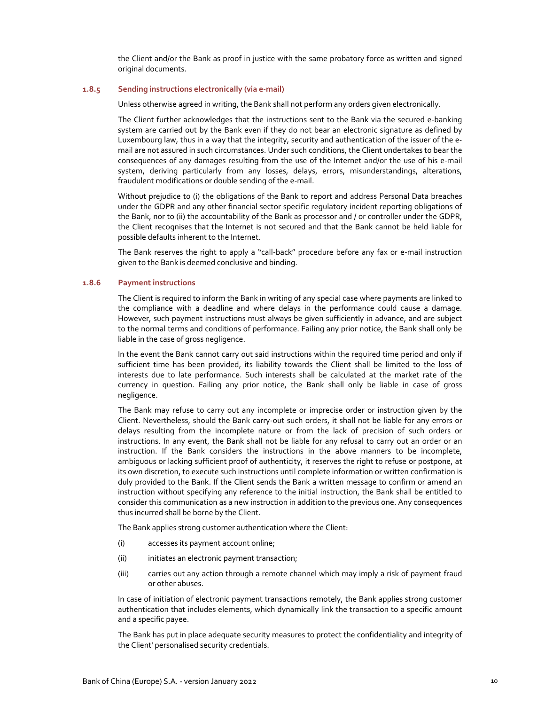the Client and/or the Bank as proof in justice with the same probatory force as written and signed original documents.

#### **1.8.5 Sending instructions electronically (via e‐mail)**

Unless otherwise agreed in writing, the Bank shall not perform any orders given electronically.

The Client further acknowledges that the instructions sent to the Bank via the secured e‐banking system are carried out by the Bank even if they do not bear an electronic signature as defined by Luxembourg law, thus in a way that the integrity, security and authentication of the issuer of the e‐ mail are not assured in such circumstances. Under such conditions, the Client undertakes to bear the consequences of any damages resulting from the use of the Internet and/or the use of his e-mail system, deriving particularly from any losses, delays, errors, misunderstandings, alterations, fraudulent modifications or double sending of the e‐mail.

Without prejudice to (i) the obligations of the Bank to report and address Personal Data breaches under the GDPR and any other financial sector specific regulatory incident reporting obligations of the Bank, nor to (ii) the accountability of the Bank as processor and / or controller under the GDPR, the Client recognises that the Internet is not secured and that the Bank cannot be held liable for possible defaults inherent to the Internet.

The Bank reserves the right to apply a "call-back" procedure before any fax or e-mail instruction given to the Bank is deemed conclusive and binding.

#### **1.8.6 Payment instructions**

The Client is required to inform the Bank in writing of any special case where payments are linked to the compliance with a deadline and where delays in the performance could cause a damage. However, such payment instructions must always be given sufficiently in advance, and are subject to the normal terms and conditions of performance. Failing any prior notice, the Bank shall only be liable in the case of gross negligence.

In the event the Bank cannot carry out said instructions within the required time period and only if sufficient time has been provided, its liability towards the Client shall be limited to the loss of interests due to late performance. Such interests shall be calculated at the market rate of the currency in question. Failing any prior notice, the Bank shall only be liable in case of gross negligence.

The Bank may refuse to carry out any incomplete or imprecise order or instruction given by the Client. Nevertheless, should the Bank carry‐out such orders, it shall not be liable for any errors or delays resulting from the incomplete nature or from the lack of precision of such orders or instructions. In any event, the Bank shall not be liable for any refusal to carry out an order or an instruction. If the Bank considers the instructions in the above manners to be incomplete, ambiguous or lacking sufficient proof of authenticity, it reserves the right to refuse or postpone, at its own discretion, to execute such instructions until complete information or written confirmation is duly provided to the Bank. If the Client sends the Bank a written message to confirm or amend an instruction without specifying any reference to the initial instruction, the Bank shall be entitled to consider this communication as a new instruction in addition to the previous one. Any consequences thus incurred shall be borne by the Client.

The Bank applies strong customer authentication where the Client:

- (i) accesses its payment account online;
- (ii) initiates an electronic payment transaction;
- (iii) carries out any action through a remote channel which may imply a risk of payment fraud or other abuses.

In case of initiation of electronic payment transactions remotely, the Bank applies strong customer authentication that includes elements, which dynamically link the transaction to a specific amount and a specific payee.

The Bank has put in place adequate security measures to protect the confidentiality and integrity of the Client' personalised security credentials.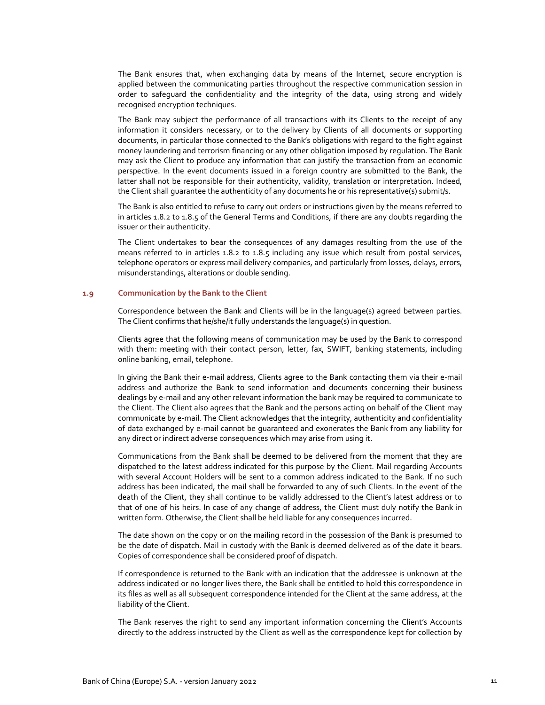The Bank ensures that, when exchanging data by means of the Internet, secure encryption is applied between the communicating parties throughout the respective communication session in order to safeguard the confidentiality and the integrity of the data, using strong and widely recognised encryption techniques.

The Bank may subject the performance of all transactions with its Clients to the receipt of any information it considers necessary, or to the delivery by Clients of all documents or supporting documents, in particular those connected to the Bank's obligations with regard to the fight against money laundering and terrorism financing or any other obligation imposed by regulation. The Bank may ask the Client to produce any information that can justify the transaction from an economic perspective. In the event documents issued in a foreign country are submitted to the Bank, the latter shall not be responsible for their authenticity, validity, translation or interpretation. Indeed, the Client shall guarantee the authenticity of any documents he or his representative(s) submit/s.

The Bank is also entitled to refuse to carry out orders or instructions given by the means referred to in articles 1.8.2 to 1.8.5 of the General Terms and Conditions, if there are any doubts regarding the issuer or their authenticity.

The Client undertakes to bear the consequences of any damages resulting from the use of the means referred to in articles 1.8.2 to 1.8.5 including any issue which result from postal services, telephone operators or express mail delivery companies, and particularly from losses, delays, errors, misunderstandings, alterations or double sending.

## **1.9 Communication by the Bank to the Client**

Correspondence between the Bank and Clients will be in the language(s) agreed between parties. The Client confirms that he/she/it fully understands the language(s) in question.

Clients agree that the following means of communication may be used by the Bank to correspond with them: meeting with their contact person, letter, fax, SWIFT, banking statements, including online banking, email, telephone.

In giving the Bank their e‐mail address, Clients agree to the Bank contacting them via their e‐mail address and authorize the Bank to send information and documents concerning their business dealings by e‐mail and any other relevant information the bank may be required to communicate to the Client. The Client also agrees that the Bank and the persons acting on behalf of the Client may communicate by e‐mail. The Client acknowledges that the integrity, authenticity and confidentiality of data exchanged by e‐mail cannot be guaranteed and exonerates the Bank from any liability for any direct or indirect adverse consequences which may arise from using it.

Communications from the Bank shall be deemed to be delivered from the moment that they are dispatched to the latest address indicated for this purpose by the Client. Mail regarding Accounts with several Account Holders will be sent to a common address indicated to the Bank. If no such address has been indicated, the mail shall be forwarded to any of such Clients. In the event of the death of the Client, they shall continue to be validly addressed to the Client's latest address or to that of one of his heirs. In case of any change of address, the Client must duly notify the Bank in written form. Otherwise, the Client shall be held liable for any consequences incurred.

The date shown on the copy or on the mailing record in the possession of the Bank is presumed to be the date of dispatch. Mail in custody with the Bank is deemed delivered as of the date it bears. Copies of correspondence shall be considered proof of dispatch.

If correspondence is returned to the Bank with an indication that the addressee is unknown at the address indicated or no longer lives there, the Bank shall be entitled to hold this correspondence in its files as well as all subsequent correspondence intended for the Client at the same address, at the liability of the Client.

The Bank reserves the right to send any important information concerning the Client's Accounts directly to the address instructed by the Client as well as the correspondence kept for collection by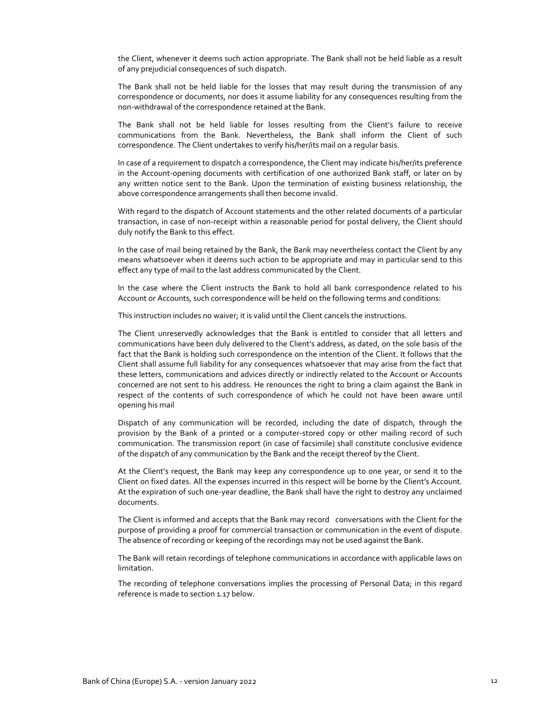the Client, whenever it deems such action appropriate. The Bank shall not be held liable as a result of any prejudicial consequences of such dispatch.

The Bank shall not be held liable for the losses that may result during the transmission of any correspondence or documents, nor does it assume liability for any consequences resulting from the non‐withdrawal of the correspondence retained at the Bank.

The Bank shall not be held liable for losses resulting from the Client's failure to receive communications from the Bank. Nevertheless, the Bank shall inform the Client of such correspondence. The Client undertakes to verify his/her/its mail on a regular basis.

In case of a requirement to dispatch a correspondence, the Client may indicate his/her/its preference in the Account-opening documents with certification of one authorized Bank staff, or later on by any written notice sent to the Bank. Upon the termination of existing business relationship, the above correspondence arrangements shall then become invalid.

With regard to the dispatch of Account statements and the other related documents of a particular transaction, in case of non‐receipt within a reasonable period for postal delivery, the Client should duly notify the Bank to this effect.

In the case of mail being retained by the Bank, the Bank may nevertheless contact the Client by any means whatsoever when it deems such action to be appropriate and may in particular send to this effect any type of mail to the last address communicated by the Client.

In the case where the Client instructs the Bank to hold all bank correspondence related to his Account or Accounts, such correspondence will be held on the following terms and conditions:

This instruction includes no waiver; it is valid until the Client cancels the instructions.

The Client unreservedly acknowledges that the Bank is entitled to consider that all letters and communications have been duly delivered to the Client's address, as dated, on the sole basis of the fact that the Bank is holding such correspondence on the intention of the Client. It follows that the Client shall assume full liability for any consequences whatsoever that may arise from the fact that these letters, communications and advices directly or indirectly related to the Account or Accounts concerned are not sent to his address. He renounces the right to bring a claim against the Bank in respect of the contents of such correspondence of which he could not have been aware until opening his mail

Dispatch of any communication will be recorded, including the date of dispatch, through the provision by the Bank of a printed or a computer-stored copy or other mailing record of such communication. The transmission report (in case of facsimile) shall constitute conclusive evidence of the dispatch of any communication by the Bank and the receipt thereof by the Client.

At the Client's request, the Bank may keep any correspondence up to one year, or send it to the Client on fixed dates. All the expenses incurred in this respect will be borne by the Client's Account. At the expiration of such one‐year deadline, the Bank shall have the right to destroy any unclaimed documents.

The Client is informed and accepts that the Bank may record conversations with the Client for the purpose of providing a proof for commercial transaction or communication in the event of dispute. The absence of recording or keeping of the recordings may not be used against the Bank.

The Bank will retain recordings of telephone communications in accordance with applicable laws on limitation.

The recording of telephone conversations implies the processing of Personal Data; in this regard reference is made to section 1.17 below.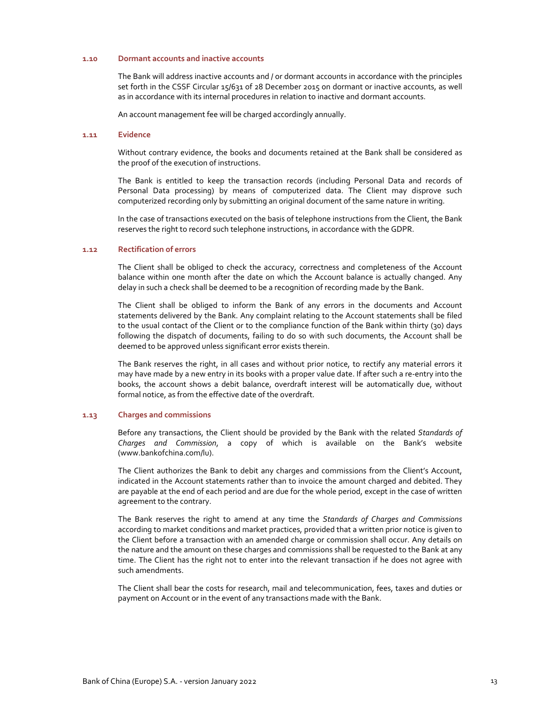### **1.10 Dormant accounts and inactive accounts**

The Bank will address inactive accounts and / or dormant accounts in accordance with the principles set forth in the CSSF Circular 15/631 of 28 December 2015 on dormant or inactive accounts, as well as in accordance with its internal procedures in relation to inactive and dormant accounts.

An account management fee will be charged accordingly annually.

## **1.11 Evidence**

Without contrary evidence, the books and documents retained at the Bank shall be considered as the proof of the execution of instructions.

The Bank is entitled to keep the transaction records (including Personal Data and records of Personal Data processing) by means of computerized data. The Client may disprove such computerized recording only by submitting an original document of the same nature in writing.

In the case of transactions executed on the basis of telephone instructions from the Client, the Bank reserves the right to record such telephone instructions, in accordance with the GDPR.

## **1.12 Rectification of errors**

The Client shall be obliged to check the accuracy, correctness and completeness of the Account balance within one month after the date on which the Account balance is actually changed. Any delay in such a check shall be deemed to be a recognition of recording made by the Bank.

The Client shall be obliged to inform the Bank of any errors in the documents and Account statements delivered by the Bank. Any complaint relating to the Account statements shall be filed to the usual contact of the Client or to the compliance function of the Bank within thirty (30) days following the dispatch of documents, failing to do so with such documents, the Account shall be deemed to be approved unless significant error exists therein.

The Bank reserves the right, in all cases and without prior notice, to rectify any material errors it may have made by a new entry in its books with a proper value date. If after such a re‐entry into the books, the account shows a debit balance, overdraft interest will be automatically due, without formal notice, as from the effective date of the overdraft.

#### **1.13 Charges and commissions**

Before any transactions, the Client should be provided by the Bank with the related *Standards of Charges and Commission*, a copy of which is available on the Bank's website (www.bankofchina.com/lu).

The Client authorizes the Bank to debit any charges and commissions from the Client's Account, indicated in the Account statements rather than to invoice the amount charged and debited. They are payable at the end of each period and are due for the whole period, except in the case of written agreement to the contrary.

The Bank reserves the right to amend at any time the *Standards of Charges and Commissions* according to market conditions and market practices, provided that a written prior notice is given to the Client before a transaction with an amended charge or commission shall occur. Any details on the nature and the amount on these charges and commissions shall be requested to the Bank at any time. The Client has the right not to enter into the relevant transaction if he does not agree with such amendments.

The Client shall bear the costs for research, mail and telecommunication, fees, taxes and duties or payment on Account or in the event of any transactions made with the Bank.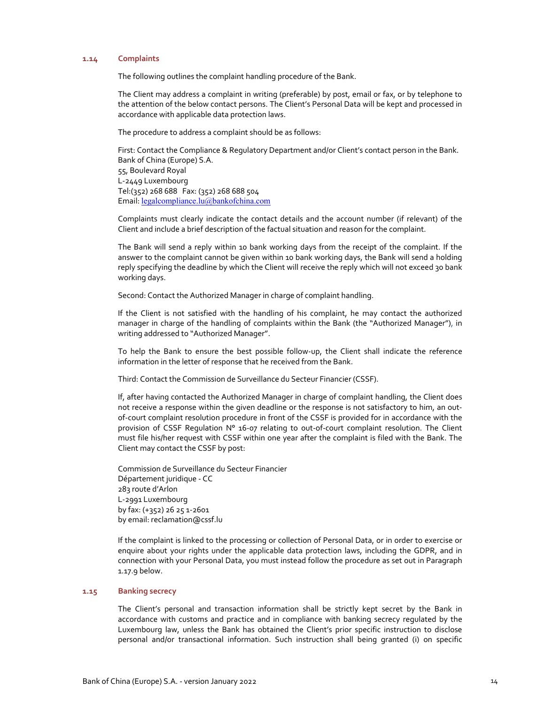## **1.14 Complaints**

The following outlines the complaint handling procedure of the Bank.

The Client may address a complaint in writing (preferable) by post, email or fax, or by telephone to the attention of the below contact persons. The Client's Personal Data will be kept and processed in accordance with applicable data protection laws.

The procedure to address a complaint should be as follows:

First: Contact the Compliance & Regulatory Department and/or Client's contact person in the Bank. Bank of China (Europe) S.A. 55, Boulevard Royal L‐2449 Luxembourg Tel:(352) 268 688 Fax: (352) 268 688 504 Email: legalcompliance.lu@bankofchina.com

Complaints must clearly indicate the contact details and the account number (if relevant) of the Client and include a brief description of the factual situation and reason for the complaint.

The Bank will send a reply within 10 bank working days from the receipt of the complaint. If the answer to the complaint cannot be given within 10 bank working days, the Bank will send a holding reply specifying the deadline by which the Client will receive the reply which will not exceed 30 bank working days.

Second: Contact the Authorized Manager in charge of complaint handling.

If the Client is not satisfied with the handling of his complaint, he may contact the authorized manager in charge of the handling of complaints within the Bank (the "Authorized Manager"), in writing addressed to "Authorized Manager".

To help the Bank to ensure the best possible follow-up, the Client shall indicate the reference information in the letter of response that he received from the Bank.

Third: Contact the Commission de Surveillance du Secteur Financier (CSSF).

If, after having contacted the Authorized Manager in charge of complaint handling, the Client does not receive a response within the given deadline or the response is not satisfactory to him, an out‐ of‐court complaint resolution procedure in front of the CSSF is provided for in accordance with the provision of CSSF Regulation N° 16-07 relating to out-of-court complaint resolution. The Client must file his/her request with CSSF within one year after the complaint is filed with the Bank. The Client may contact the CSSF by post:

Commission de Surveillance du Secteur Financier Département juridique ‐ CC 283 route d'Arlon L‐2991 Luxembourg by fax: (+352) 26 25 1‐2601 by email: reclamation@cssf.lu

If the complaint is linked to the processing or collection of Personal Data, or in order to exercise or enquire about your rights under the applicable data protection laws, including the GDPR, and in connection with your Personal Data, you must instead follow the procedure as set out in Paragraph 1.17.9 below.

## **1.15 Banking secrecy**

The Client's personal and transaction information shall be strictly kept secret by the Bank in accordance with customs and practice and in compliance with banking secrecy regulated by the Luxembourg law, unless the Bank has obtained the Client's prior specific instruction to disclose personal and/or transactional information. Such instruction shall being granted (i) on specific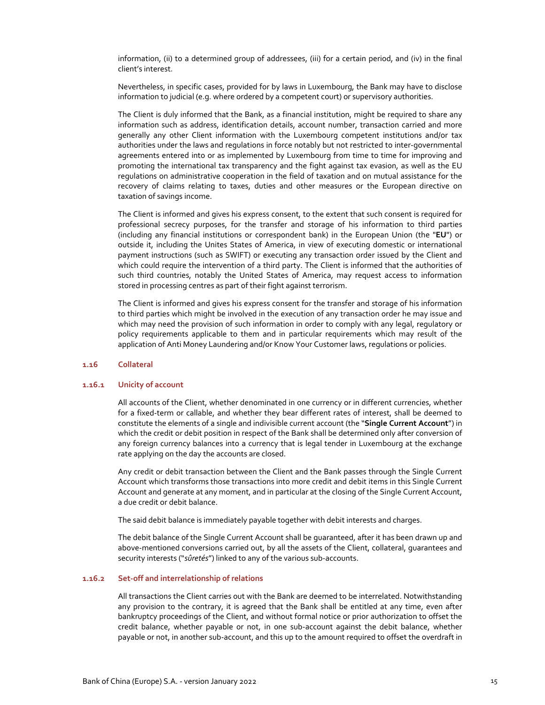information, (ii) to a determined group of addressees, (iii) for a certain period, and (iv) in the final client's interest.

Nevertheless, in specific cases, provided for by laws in Luxembourg, the Bank may have to disclose information to judicial (e.g. where ordered by a competent court) or supervisory authorities.

The Client is duly informed that the Bank, as a financial institution, might be required to share any information such as address, identification details, account number, transaction carried and more generally any other Client information with the Luxembourg competent institutions and/or tax authorities under the laws and regulations in force notably but not restricted to inter‐governmental agreements entered into or as implemented by Luxembourg from time to time for improving and promoting the international tax transparency and the fight against tax evasion, as well as the EU regulations on administrative cooperation in the field of taxation and on mutual assistance for the recovery of claims relating to taxes, duties and other measures or the European directive on taxation of savings income.

The Client is informed and gives his express consent, to the extent that such consent is required for professional secrecy purposes, for the transfer and storage of his information to third parties (including any financial institutions or correspondent bank) in the European Union (the "**EU**") or outside it, including the Unites States of America, in view of executing domestic or international payment instructions (such as SWIFT) or executing any transaction order issued by the Client and which could require the intervention of a third party. The Client is informed that the authorities of such third countries, notably the United States of America, may request access to information stored in processing centres as part of their fight against terrorism.

The Client is informed and gives his express consent for the transfer and storage of his information to third parties which might be involved in the execution of any transaction order he may issue and which may need the provision of such information in order to comply with any legal, regulatory or policy requirements applicable to them and in particular requirements which may result of the application of Anti Money Laundering and/or Know Your Customer laws, regulations or policies.

### **1.16 Collateral**

#### **1.16.1 Unicity of account**

All accounts of the Client, whether denominated in one currency or in different currencies, whether for a fixed-term or callable, and whether they bear different rates of interest, shall be deemed to constitute the elements of a single and indivisible current account (the "**Single Current Account**") in which the credit or debit position in respect of the Bank shall be determined only after conversion of any foreign currency balances into a currency that is legal tender in Luxembourg at the exchange rate applying on the day the accounts are closed.

Any credit or debit transaction between the Client and the Bank passes through the Single Current Account which transforms those transactions into more credit and debit items in this Single Current Account and generate at any moment, and in particular at the closing of the Single Current Account, a due credit or debit balance.

The said debit balance is immediately payable together with debit interests and charges.

The debit balance of the Single Current Account shall be guaranteed, after it has been drawn up and above-mentioned conversions carried out, by all the assets of the Client, collateral, quarantees and security interests ("sûretés") linked to any of the various sub-accounts.

## **1.16.2 Set‐off and interrelationship of relations**

All transactions the Client carries out with the Bank are deemed to be interrelated. Notwithstanding any provision to the contrary, it is agreed that the Bank shall be entitled at any time, even after bankruptcy proceedings of the Client, and without formal notice or prior authorization to offset the credit balance, whether payable or not, in one sub‐account against the debit balance, whether payable or not, in another sub-account, and this up to the amount required to offset the overdraft in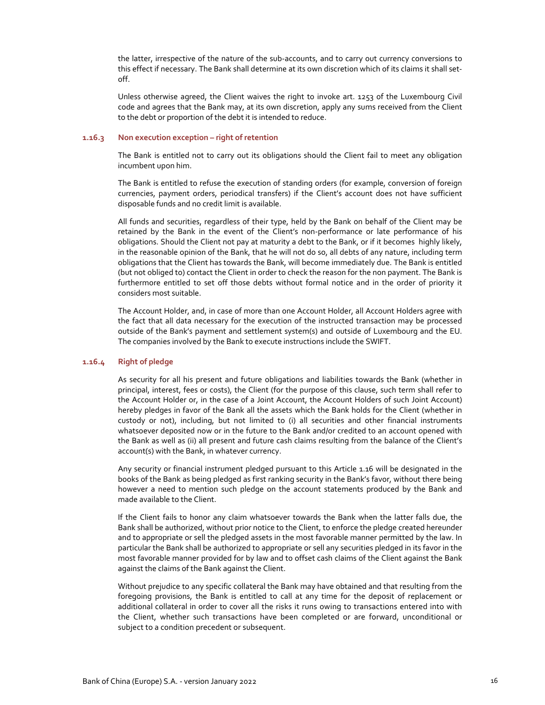the latter, irrespective of the nature of the sub‐accounts, and to carry out currency conversions to this effect if necessary. The Bank shall determine at its own discretion which of its claims it shall set‐ off.

Unless otherwise agreed, the Client waives the right to invoke art. 1253 of the Luxembourg Civil code and agrees that the Bank may, at its own discretion, apply any sums received from the Client to the debt or proportion of the debt it is intended to reduce.

## **1.16.3 Non execution exception – right of retention**

The Bank is entitled not to carry out its obligations should the Client fail to meet any obligation incumbent upon him.

The Bank is entitled to refuse the execution of standing orders (for example, conversion of foreign currencies, payment orders, periodical transfers) if the Client's account does not have sufficient disposable funds and no credit limit is available.

All funds and securities, regardless of their type, held by the Bank on behalf of the Client may be retained by the Bank in the event of the Client's non-performance or late performance of his obligations. Should the Client not pay at maturity a debt to the Bank, or if it becomes highly likely, in the reasonable opinion of the Bank, that he will not do so, all debts of any nature, including term obligations that the Client has towards the Bank, will become immediately due. The Bank is entitled (but not obliged to) contact the Client in order to check the reason for the non payment. The Bank is furthermore entitled to set off those debts without formal notice and in the order of priority it considers most suitable.

The Account Holder, and, in case of more than one Account Holder, all Account Holders agree with the fact that all data necessary for the execution of the instructed transaction may be processed outside of the Bank's payment and settlement system(s) and outside of Luxembourg and the EU. The companies involved by the Bank to execute instructions include the SWIFT.

### **1.16.4 Right of pledge**

As security for all his present and future obligations and liabilities towards the Bank (whether in principal, interest, fees or costs), the Client (for the purpose of this clause, such term shall refer to the Account Holder or, in the case of a Joint Account, the Account Holders of such Joint Account) hereby pledges in favor of the Bank all the assets which the Bank holds for the Client (whether in custody or not), including, but not limited to (i) all securities and other financial instruments whatsoever deposited now or in the future to the Bank and/or credited to an account opened with the Bank as well as (ii) all present and future cash claims resulting from the balance of the Client's account(s) with the Bank, in whatever currency.

Any security or financial instrument pledged pursuant to this Article 1.16 will be designated in the books of the Bank as being pledged as first ranking security in the Bank's favor, without there being however a need to mention such pledge on the account statements produced by the Bank and made available to the Client.

If the Client fails to honor any claim whatsoever towards the Bank when the latter falls due, the Bank shall be authorized, without prior notice to the Client, to enforce the pledge created hereunder and to appropriate or sell the pledged assets in the most favorable manner permitted by the law. In particular the Bank shall be authorized to appropriate or sell any securities pledged in its favor in the most favorable manner provided for by law and to offset cash claims of the Client against the Bank against the claims of the Bank against the Client.

Without prejudice to any specific collateral the Bank may have obtained and that resulting from the foregoing provisions, the Bank is entitled to call at any time for the deposit of replacement or additional collateral in order to cover all the risks it runs owing to transactions entered into with the Client, whether such transactions have been completed or are forward, unconditional or subject to a condition precedent or subsequent.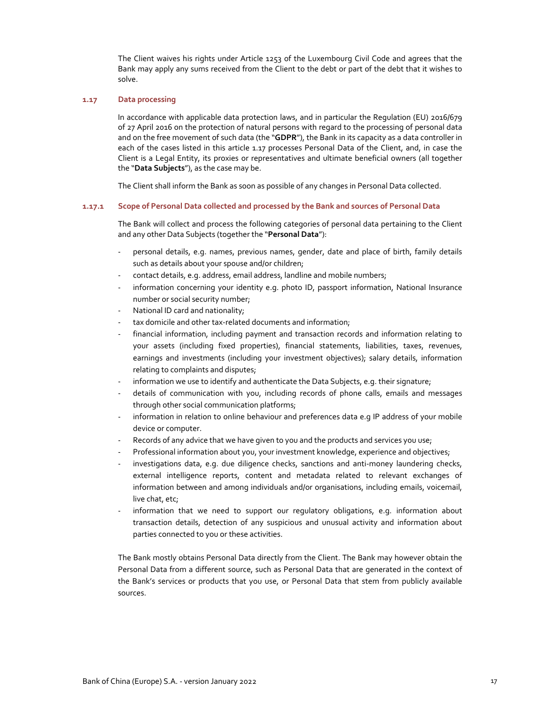The Client waives his rights under Article 1253 of the Luxembourg Civil Code and agrees that the Bank may apply any sums received from the Client to the debt or part of the debt that it wishes to solve.

### **1.17 Data processing**

In accordance with applicable data protection laws, and in particular the Regulation (EU) 2016/679 of 27 April 2016 on the protection of natural persons with regard to the processing of personal data and on the free movement of such data (the "**GDPR**"), the Bank in its capacity as a data controller in each of the cases listed in this article 1.17 processes Personal Data of the Client, and, in case the Client is a Legal Entity, its proxies or representatives and ultimate beneficial owners (all together the "**Data Subjects**"), as the case may be.

The Client shall inform the Bank as soon as possible of any changes in Personal Data collected.

## **1.17.1 Scope of Personal Data collected and processed by the Bank and sources of Personal Data**

The Bank will collect and process the following categories of personal data pertaining to the Client and any other Data Subjects (together the "**Personal Data**"):

- ‐ personal details, e.g. names, previous names, gender, date and place of birth, family details such as details about your spouse and/or children;
- contact details, e.g. address, email address, landline and mobile numbers;
- information concerning your identity e.g. photo ID, passport information, National Insurance number or social security number;
- National ID card and nationality;
- tax domicile and other tax-related documents and information;
- financial information, including payment and transaction records and information relating to your assets (including fixed properties), financial statements, liabilities, taxes, revenues, earnings and investments (including your investment objectives); salary details, information relating to complaints and disputes;
- information we use to identify and authenticate the Data Subjects, e.g. their signature;
- details of communication with you, including records of phone calls, emails and messages through other social communication platforms;
- information in relation to online behaviour and preferences data e.q IP address of your mobile device or computer.
- Records of any advice that we have given to you and the products and services you use;
- ‐ Professional information about you, your investment knowledge, experience and objectives;
- investigations data, e.g. due diligence checks, sanctions and anti-money laundering checks, external intelligence reports, content and metadata related to relevant exchanges of information between and among individuals and/or organisations, including emails, voicemail, live chat, etc;
- information that we need to support our regulatory obligations, e.g. information about transaction details, detection of any suspicious and unusual activity and information about parties connected to you or these activities.

The Bank mostly obtains Personal Data directly from the Client. The Bank may however obtain the Personal Data from a different source, such as Personal Data that are generated in the context of the Bank's services or products that you use, or Personal Data that stem from publicly available sources.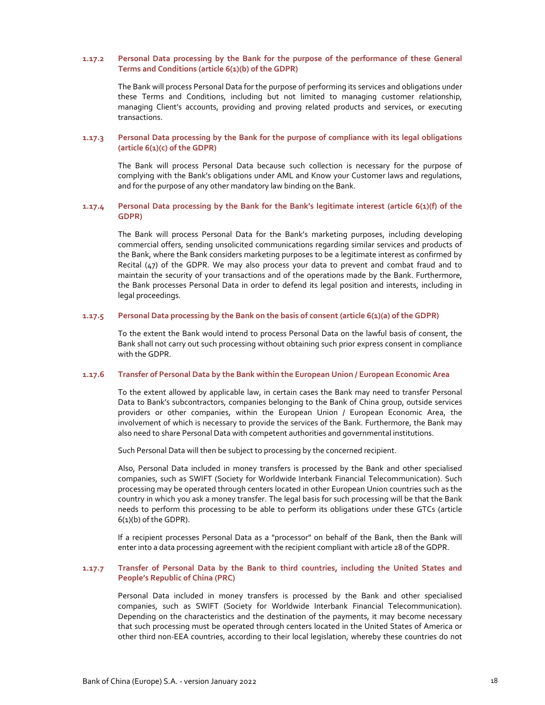## **1.17.2 Personal Data processing by the Bank for the purpose of the performance of these General Terms and Conditions (article 6(1)(b) of the GDPR)**

The Bank will process Personal Data for the purpose of performing its services and obligations under these Terms and Conditions, including but not limited to managing customer relationship, managing Client's accounts, providing and proving related products and services, or executing transactions.

## **1.17.3 Personal Data processing by the Bank for the purpose of compliance with its legal obligations (article 6(1)(c) of the GDPR)**

The Bank will process Personal Data because such collection is necessary for the purpose of complying with the Bank's obligations under AML and Know your Customer laws and regulations, and for the purpose of any other mandatory law binding on the Bank.

## **1.17.4 Personal Data processing by the Bank for the Bank's legitimate interest (article 6(1)(f) of the GDPR)**

The Bank will process Personal Data for the Bank's marketing purposes, including developing commercial offers, sending unsolicited communications regarding similar services and products of the Bank, where the Bank considers marketing purposes to be a legitimate interest as confirmed by Recital (47) of the GDPR. We may also process your data to prevent and combat fraud and to maintain the security of your transactions and of the operations made by the Bank. Furthermore, the Bank processes Personal Data in order to defend its legal position and interests, including in legal proceedings.

## **1.17.5 Personal Data processing by the Bank on the basis of consent (article 6(1)(a) of the GDPR)**

To the extent the Bank would intend to process Personal Data on the lawful basis of consent, the Bank shall not carry out such processing without obtaining such prior express consent in compliance with the GDPR.

### **1.17.6 Transfer of Personal Data by the Bank within the European Union / European Economic Area**

To the extent allowed by applicable law, in certain cases the Bank may need to transfer Personal Data to Bank's subcontractors, companies belonging to the Bank of China group, outside services providers or other companies, within the European Union / European Economic Area, the involvement of which is necessary to provide the services of the Bank. Furthermore, the Bank may also need to share Personal Data with competent authorities and governmental institutions.

Such Personal Data will then be subject to processing by the concerned recipient.

Also, Personal Data included in money transfers is processed by the Bank and other specialised companies, such as SWIFT (Society for Worldwide Interbank Financial Telecommunication). Such processing may be operated through centers located in other European Union countries such as the country in which you ask a money transfer. The legal basis for such processing will be that the Bank needs to perform this processing to be able to perform its obligations under these GTCs (article  $6(1)(b)$  of the GDPR).

If a recipient processes Personal Data as a "processor" on behalf of the Bank, then the Bank will enter into a data processing agreement with the recipient compliant with article 28 of the GDPR.

## **1.17.7 Transfer of Personal Data by the Bank to third countries, including the United States and People's Republic of China (PRC)**

Personal Data included in money transfers is processed by the Bank and other specialised companies, such as SWIFT (Society for Worldwide Interbank Financial Telecommunication). Depending on the characteristics and the destination of the payments, it may become necessary that such processing must be operated through centers located in the United States of America or other third non‐EEA countries, according to their local legislation, whereby these countries do not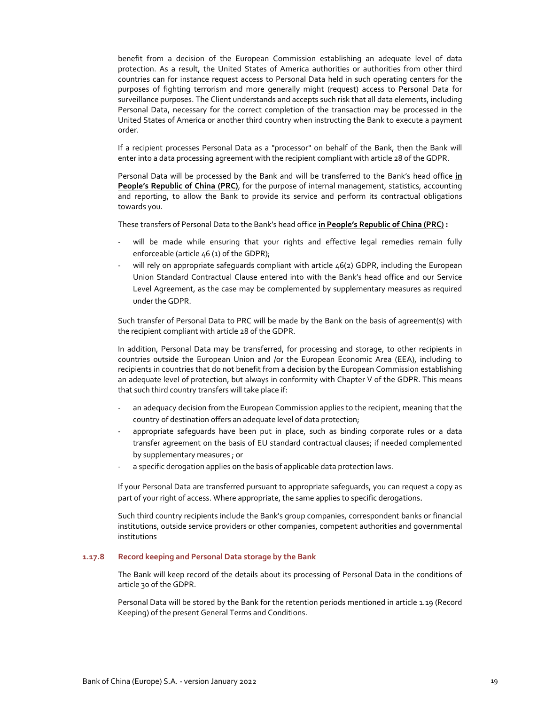benefit from a decision of the European Commission establishing an adequate level of data protection. As a result, the United States of America authorities or authorities from other third countries can for instance request access to Personal Data held in such operating centers for the purposes of fighting terrorism and more generally might (request) access to Personal Data for surveillance purposes. The Client understands and accepts such risk that all data elements, including Personal Data, necessary for the correct completion of the transaction may be processed in the United States of America or another third country when instructing the Bank to execute a payment order.

If a recipient processes Personal Data as a "processor" on behalf of the Bank, then the Bank will enter into a data processing agreement with the recipient compliant with article 28 of the GDPR.

Personal Data will be processed by the Bank and will be transferred to the Bank's head office **in People's Republic of China (PRC)**, for the purpose of internal management, statistics, accounting and reporting, to allow the Bank to provide its service and perform its contractual obligations towards you.

These transfers of Personal Data to the Bank's head office **in People's Republic of China (PRC) :** 

- will be made while ensuring that your rights and effective legal remedies remain fully enforceable (article 46 (1) of the GDPR);
- will rely on appropriate safequards compliant with article  $46(2)$  GDPR, including the European Union Standard Contractual Clause entered into with the Bank's head office and our Service Level Agreement, as the case may be complemented by supplementary measures as required under the GDPR.

Such transfer of Personal Data to PRC will be made by the Bank on the basis of agreement(s) with the recipient compliant with article 28 of the GDPR.

In addition, Personal Data may be transferred, for processing and storage, to other recipients in countries outside the European Union and /or the European Economic Area (EEA), including to recipients in countries that do not benefit from a decision by the European Commission establishing an adequate level of protection, but always in conformity with Chapter V of the GDPR. This means that such third country transfers will take place if:

- an adequacy decision from the European Commission applies to the recipient, meaning that the country of destination offers an adequate level of data protection;
- appropriate safeguards have been put in place, such as binding corporate rules or a data transfer agreement on the basis of EU standard contractual clauses; if needed complemented by supplementary measures ; or
- ‐ a specific derogation applies on the basis of applicable data protection laws.

If your Personal Data are transferred pursuant to appropriate safeguards, you can request a copy as part of your right of access. Where appropriate, the same applies to specific derogations.

Such third country recipients include the Bank's group companies, correspondent banks or financial institutions, outside service providers or other companies, competent authorities and governmental institutions

## **1.17.8 Record keeping and Personal Data storage by the Bank**

The Bank will keep record of the details about its processing of Personal Data in the conditions of article 30 of the GDPR.

Personal Data will be stored by the Bank for the retention periods mentioned in article 1.19 (Record Keeping) of the present General Terms and Conditions.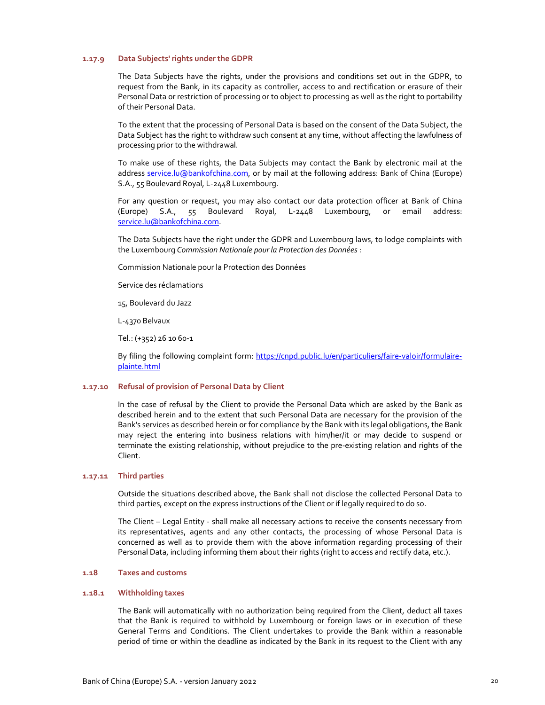## **1.17.9 Data Subjects' rights under the GDPR**

The Data Subjects have the rights, under the provisions and conditions set out in the GDPR, to request from the Bank, in its capacity as controller, access to and rectification or erasure of their Personal Data or restriction of processing or to object to processing as well as the right to portability of their Personal Data.

To the extent that the processing of Personal Data is based on the consent of the Data Subject, the Data Subject has the right to withdraw such consent at any time, without affecting the lawfulness of processing prior to the withdrawal.

To make use of these rights, the Data Subjects may contact the Bank by electronic mail at the address service.lu@bankofchina.com, or by mail at the following address: Bank of China (Europe) S.A., 55 Boulevard Royal, L‐2448 Luxembourg.

For any question or request, you may also contact our data protection officer at Bank of China (Europe) S.A., 55 Boulevard Royal, L‐2448 Luxembourg, or email address: service.lu@bankofchina.com.

The Data Subjects have the right under the GDPR and Luxembourg laws, to lodge complaints with the Luxembourg *Commission Nationale pour la Protection des Données* :

Commission Nationale pour la Protection des Données

Service des réclamations

15, Boulevard du Jazz

L‐4370 Belvaux

Tel.: (+352) 26 10 60‐1

By filing the following complaint form: https://cnpd.public.lu/en/particuliers/faire-valoir/formulaireplainte.html

### **1.17.10 Refusal of provision of Personal Data by Client**

In the case of refusal by the Client to provide the Personal Data which are asked by the Bank as described herein and to the extent that such Personal Data are necessary for the provision of the Bank's services as described herein or for compliance by the Bank with its legal obligations, the Bank may reject the entering into business relations with him/her/it or may decide to suspend or terminate the existing relationship, without prejudice to the pre‐existing relation and rights of the Client.

### **1.17.11 Third parties**

Outside the situations described above, the Bank shall not disclose the collected Personal Data to third parties, except on the express instructions of the Client or if legally required to do so.

The Client – Legal Entity ‐ shall make all necessary actions to receive the consents necessary from its representatives, agents and any other contacts, the processing of whose Personal Data is concerned as well as to provide them with the above information regarding processing of their Personal Data, including informing them about their rights (right to access and rectify data, etc.).

### **1.18 Taxes and customs**

## **1.18.1 Withholding taxes**

The Bank will automatically with no authorization being required from the Client, deduct all taxes that the Bank is required to withhold by Luxembourg or foreign laws or in execution of these General Terms and Conditions. The Client undertakes to provide the Bank within a reasonable period of time or within the deadline as indicated by the Bank in its request to the Client with any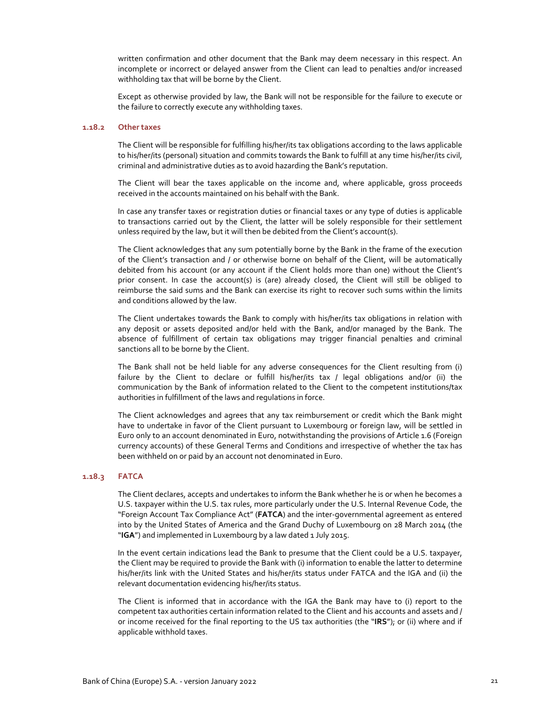written confirmation and other document that the Bank may deem necessary in this respect. An incomplete or incorrect or delayed answer from the Client can lead to penalties and/or increased withholding tax that will be borne by the Client.

Except as otherwise provided by law, the Bank will not be responsible for the failure to execute or the failure to correctly execute any withholding taxes.

## **1.18.2 Other taxes**

The Client will be responsible for fulfilling his/her/its tax obligations according to the laws applicable to his/her/its (personal) situation and commits towards the Bank to fulfill at any time his/her/its civil, criminal and administrative duties as to avoid hazarding the Bank's reputation.

The Client will bear the taxes applicable on the income and, where applicable, gross proceeds received in the accounts maintained on his behalf with the Bank.

In case any transfer taxes or registration duties or financial taxes or any type of duties is applicable to transactions carried out by the Client, the latter will be solely responsible for their settlement unless required by the law, but it will then be debited from the Client's account(s).

The Client acknowledges that any sum potentially borne by the Bank in the frame of the execution of the Client's transaction and / or otherwise borne on behalf of the Client, will be automatically debited from his account (or any account if the Client holds more than one) without the Client's prior consent. In case the account(s) is (are) already closed, the Client will still be obliged to reimburse the said sums and the Bank can exercise its right to recover such sums within the limits and conditions allowed by the law.

The Client undertakes towards the Bank to comply with his/her/its tax obligations in relation with any deposit or assets deposited and/or held with the Bank, and/or managed by the Bank. The absence of fulfillment of certain tax obligations may trigger financial penalties and criminal sanctions all to be borne by the Client.

The Bank shall not be held liable for any adverse consequences for the Client resulting from (i) failure by the Client to declare or fulfill his/her/its tax / legal obligations and/or (ii) the communication by the Bank of information related to the Client to the competent institutions/tax authorities in fulfillment of the laws and regulations in force.

The Client acknowledges and agrees that any tax reimbursement or credit which the Bank might have to undertake in favor of the Client pursuant to Luxembourg or foreign law, will be settled in Euro only to an account denominated in Euro, notwithstanding the provisions of Article 1.6 (Foreign currency accounts) of these General Terms and Conditions and irrespective of whether the tax has been withheld on or paid by an account not denominated in Euro.

#### **1.18.3 FATCA**

The Client declares, accepts and undertakes to inform the Bank whether he is or when he becomes a U.S. taxpayer within the U.S. tax rules, more particularly under the U.S. Internal Revenue Code, the "Foreign Account Tax Compliance Act" (**FATCA**) and the inter‐governmental agreement as entered into by the United States of America and the Grand Duchy of Luxembourg on 28 March 2014 (the "**IGA**") and implemented in Luxembourg by a law dated 1 July 2015.

In the event certain indications lead the Bank to presume that the Client could be a U.S. taxpayer, the Client may be required to provide the Bank with (i) information to enable the latter to determine his/her/its link with the United States and his/her/its status under FATCA and the IGA and (ii) the relevant documentation evidencing his/her/its status.

The Client is informed that in accordance with the IGA the Bank may have to (i) report to the competent tax authorities certain information related to the Client and his accounts and assets and / or income received for the final reporting to the US tax authorities (the "**IRS**"); or (ii) where and if applicable withhold taxes.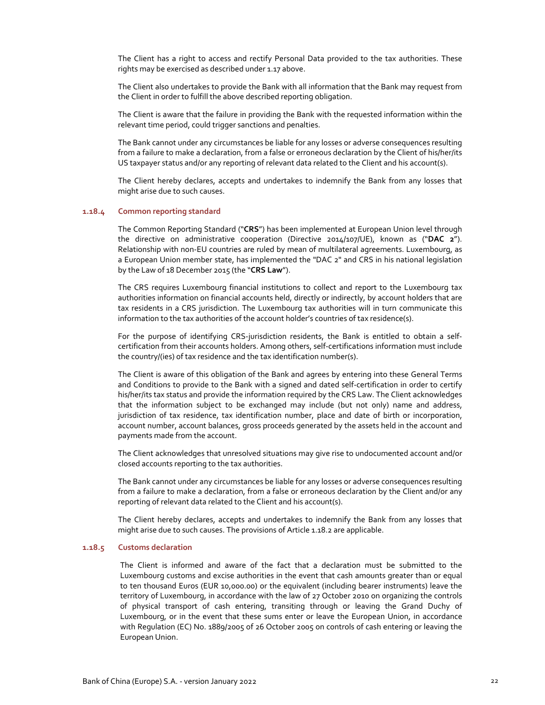The Client has a right to access and rectify Personal Data provided to the tax authorities. These rights may be exercised as described under 1.17 above.

The Client also undertakes to provide the Bank with all information that the Bank may request from the Client in order to fulfill the above described reporting obligation.

The Client is aware that the failure in providing the Bank with the requested information within the relevant time period, could trigger sanctions and penalties.

The Bank cannot under any circumstances be liable for any losses or adverse consequences resulting from a failure to make a declaration, from a false or erroneous declaration by the Client of his/her/its US taxpayer status and/or any reporting of relevant data related to the Client and his account(s).

The Client hereby declares, accepts and undertakes to indemnify the Bank from any losses that might arise due to such causes.

#### **1.18.4 Common reporting standard**

The Common Reporting Standard ("**CRS**") has been implemented at European Union level through the directive on administrative cooperation (Directive 2014/107/UE), known as ("**DAC 2**"). Relationship with non‐EU countries are ruled by mean of multilateral agreements. Luxembourg, as a European Union member state, has implemented the "DAC 2" and CRS in his national legislation by the Law of 18 December 2015 (the "**CRS Law**").

The CRS requires Luxembourg financial institutions to collect and report to the Luxembourg tax authorities information on financial accounts held, directly or indirectly, by account holders that are tax residents in a CRS jurisdiction. The Luxembourg tax authorities will in turn communicate this information to the tax authorities of the account holder's countries of tax residence(s).

For the purpose of identifying CRS-jurisdiction residents, the Bank is entitled to obtain a selfcertification from their accounts holders. Among others, self‐certifications information must include the country/(ies) of tax residence and the tax identification number(s).

The Client is aware of this obligation of the Bank and agrees by entering into these General Terms and Conditions to provide to the Bank with a signed and dated self‐certification in order to certify his/her/its tax status and provide the information required by the CRS Law. The Client acknowledges that the information subject to be exchanged may include (but not only) name and address, jurisdiction of tax residence, tax identification number, place and date of birth or incorporation, account number, account balances, gross proceeds generated by the assets held in the account and payments made from the account.

The Client acknowledges that unresolved situations may give rise to undocumented account and/or closed accounts reporting to the tax authorities.

The Bank cannot under any circumstances be liable for any losses or adverse consequences resulting from a failure to make a declaration, from a false or erroneous declaration by the Client and/or any reporting of relevant data related to the Client and his account(s).

The Client hereby declares, accepts and undertakes to indemnify the Bank from any losses that might arise due to such causes. The provisions of Article 1.18.2 are applicable.

## **1.18.5 Customs declaration**

The Client is informed and aware of the fact that a declaration must be submitted to the Luxembourg customs and excise authorities in the event that cash amounts greater than or equal to ten thousand Euros (EUR 10,000.00) or the equivalent (including bearer instruments) leave the territory of Luxembourg, in accordance with the law of 27 October 2010 on organizing the controls of physical transport of cash entering, transiting through or leaving the Grand Duchy of Luxembourg, or in the event that these sums enter or leave the European Union, in accordance with Regulation (EC) No. 1889/2005 of 26 October 2005 on controls of cash entering or leaving the European Union.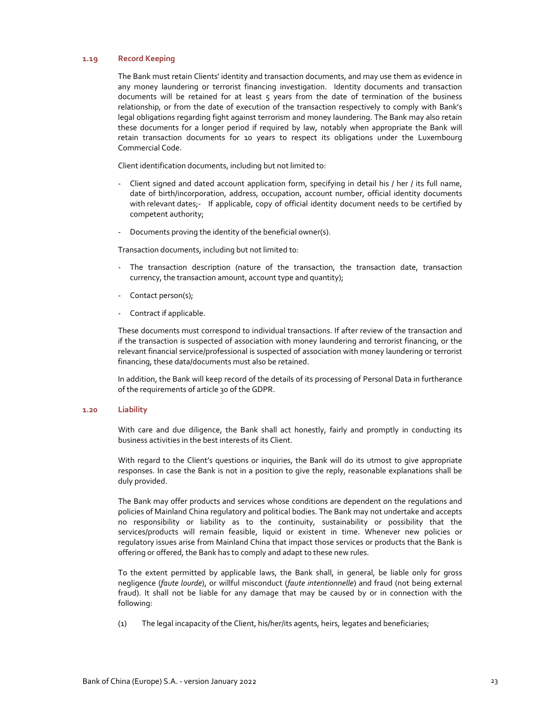## **1.19 Record Keeping**

The Bank must retain Clients' identity and transaction documents, and may use them as evidence in any money laundering or terrorist financing investigation. Identity documents and transaction documents will be retained for at least 5 years from the date of termination of the business relationship, or from the date of execution of the transaction respectively to comply with Bank's legal obligations regarding fight against terrorism and money laundering. The Bank may also retain these documents for a longer period if required by law, notably when appropriate the Bank will retain transaction documents for 10 years to respect its obligations under the Luxembourg Commercial Code.

Client identification documents, including but not limited to:

- ‐ Client signed and dated account application form, specifying in detail his / her / its full name, date of birth/incorporation, address, occupation, account number, official identity documents with relevant dates;- If applicable, copy of official identity document needs to be certified by competent authority;
- ‐ Documents proving the identity of the beneficial owner(s).

Transaction documents, including but not limited to:

- ‐ The transaction description (nature of the transaction, the transaction date, transaction currency, the transaction amount, account type and quantity);
- Contact person(s);
- ‐ Contract if applicable.

These documents must correspond to individual transactions. If after review of the transaction and if the transaction is suspected of association with money laundering and terrorist financing, or the relevant financial service/professional is suspected of association with money laundering or terrorist financing, these data/documents must also be retained.

In addition, the Bank will keep record of the details of its processing of Personal Data in furtherance of the requirements of article 30 of the GDPR.

### **1.20 Liability**

With care and due diligence, the Bank shall act honestly, fairly and promptly in conducting its business activities in the best interests of its Client.

With regard to the Client's questions or inquiries, the Bank will do its utmost to give appropriate responses. In case the Bank is not in a position to give the reply, reasonable explanations shall be duly provided.

The Bank may offer products and services whose conditions are dependent on the regulations and policies of Mainland China regulatory and political bodies. The Bank may not undertake and accepts no responsibility or liability as to the continuity, sustainability or possibility that the services/products will remain feasible, liquid or existent in time. Whenever new policies or regulatory issues arise from Mainland China that impact those services or products that the Bank is offering or offered, the Bank has to comply and adapt to these new rules.

To the extent permitted by applicable laws, the Bank shall, in general, be liable only for gross negligence (*faute lourde*), or willful misconduct (*faute intentionnelle*) and fraud (not being external fraud). It shall not be liable for any damage that may be caused by or in connection with the following:

(1) The legal incapacity of the Client, his/her/its agents, heirs, legates and beneficiaries;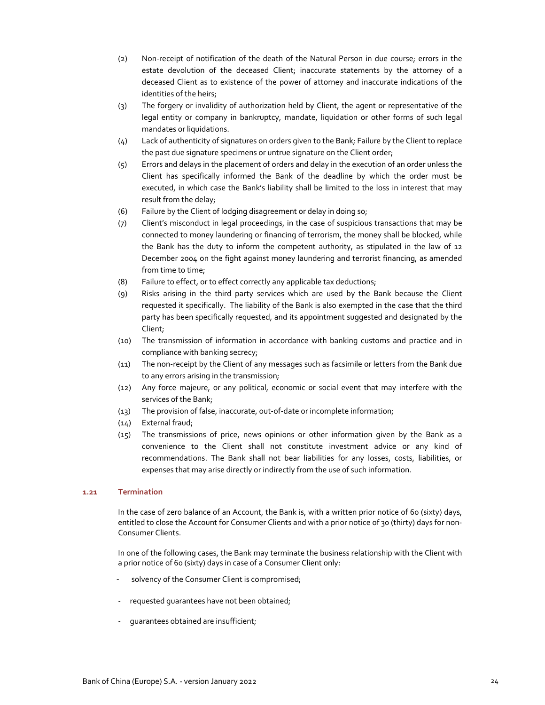- (2) Non‐receipt of notification of the death of the Natural Person in due course; errors in the estate devolution of the deceased Client; inaccurate statements by the attorney of a deceased Client as to existence of the power of attorney and inaccurate indications of the identities of the heirs;
- (3) The forgery or invalidity of authorization held by Client, the agent or representative of the legal entity or company in bankruptcy, mandate, liquidation or other forms of such legal mandates or liquidations.
- (4) Lack of authenticity of signatures on orders given to the Bank; Failure by the Client to replace the past due signature specimens or untrue signature on the Client order;
- (5) Errors and delays in the placement of orders and delay in the execution of an order unless the Client has specifically informed the Bank of the deadline by which the order must be executed, in which case the Bank's liability shall be limited to the loss in interest that may result from the delay;
- (6) Failure by the Client of lodging disagreement or delay in doing so;
- (7) Client's misconduct in legal proceedings, in the case of suspicious transactions that may be connected to money laundering or financing of terrorism, the money shall be blocked, while the Bank has the duty to inform the competent authority, as stipulated in the law of 12 December 2004 on the fight against money laundering and terrorist financing, as amended from time to time;
- (8) Failure to effect, or to effect correctly any applicable tax deductions;
- (9) Risks arising in the third party services which are used by the Bank because the Client requested it specifically. The liability of the Bank is also exempted in the case that the third party has been specifically requested, and its appointment suggested and designated by the Client;
- (10) The transmission of information in accordance with banking customs and practice and in compliance with banking secrecy;
- (11) The non‐receipt by the Client of any messages such as facsimile or letters from the Bank due to any errors arising in the transmission;
- (12) Any force majeure, or any political, economic or social event that may interfere with the services of the Bank;
- (13) The provision of false, inaccurate, out‐of‐date or incomplete information;
- (14) External fraud;
- (15) The transmissions of price, news opinions or other information given by the Bank as a convenience to the Client shall not constitute investment advice or any kind of recommendations. The Bank shall not bear liabilities for any losses, costs, liabilities, or expenses that may arise directly or indirectly from the use of such information.

## **1.21 Termination**

In the case of zero balance of an Account, the Bank is, with a written prior notice of 60 (sixty) days, entitled to close the Account for Consumer Clients and with a prior notice of 30 (thirty) days for non-Consumer Clients.

In one of the following cases, the Bank may terminate the business relationship with the Client with a prior notice of 60 (sixty) days in case of a Consumer Client only:

- solvency of the Consumer Client is compromised;
- requested quarantees have not been obtained;
- ‐ guarantees obtained are insufficient;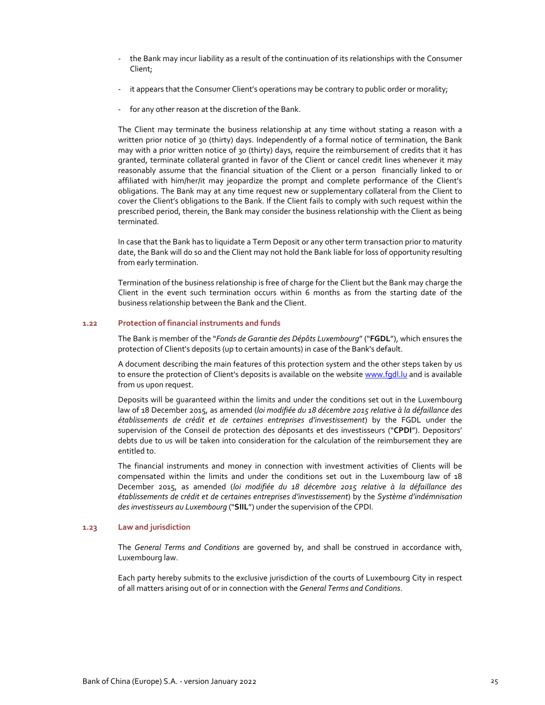- ‐ the Bank may incur liability as a result of the continuation of its relationships with the Consumer Client;
- it appears that the Consumer Client's operations may be contrary to public order or morality;
- ‐ for any other reason at the discretion of the Bank.

The Client may terminate the business relationship at any time without stating a reason with a written prior notice of 30 (thirty) days. Independently of a formal notice of termination, the Bank may with a prior written notice of 30 (thirty) days, require the reimbursement of credits that it has granted, terminate collateral granted in favor of the Client or cancel credit lines whenever it may reasonably assume that the financial situation of the Client or a person financially linked to or affiliated with him/her/it may jeopardize the prompt and complete performance of the Client's obligations. The Bank may at any time request new or supplementary collateral from the Client to cover the Client's obligations to the Bank. If the Client fails to comply with such request within the prescribed period, therein, the Bank may consider the business relationship with the Client as being terminated.

In case that the Bank has to liquidate a Term Deposit or any other term transaction prior to maturity date, the Bank will do so and the Client may not hold the Bank liable for loss of opportunity resulting from early termination.

Termination of the business relationship is free of charge for the Client but the Bank may charge the Client in the event such termination occurs within 6 months as from the starting date of the business relationship between the Bank and the Client.

## **1.22 Protection of financial instruments and funds**

The Bank is member of the "*Fonds de Garantie des Dépôts Luxembourg*" ("**FGDL**"), which ensures the protection of Client's deposits (up to certain amounts) in case of the Bank's default.

A document describing the main features of this protection system and the other steps taken by us to ensure the protection of Client's deposits is available on the website www.fgdl.lu and is available from us upon request.

Deposits will be guaranteed within the limits and under the conditions set out in the Luxembourg law of 18 December 2015, as amended (*loi modifiée du 18 décembre 2015 relative à la défaillance des établissements de crédit et de certaines entreprises d'investissement*) by the FGDL under the supervision of the Conseil de protection des déposants et des investisseurs ("**CPDI**"). Depositors' debts due to us will be taken into consideration for the calculation of the reimbursement they are entitled to.

The financial instruments and money in connection with investment activities of Clients will be compensated within the limits and under the conditions set out in the Luxembourg law of 18 December 2015, as amended (*loi modifiée du 18 décembre 2015 relative à la défaillance des établissements de crédit et de certaines entreprises d'investissement*) by the *Système d'indémnisation des investisseurs au Luxembourg* ("**SIIL**") under the supervision of the CPDI.

## **1.23 Law and jurisdiction**

The *General Terms and Conditions* are governed by, and shall be construed in accordance with, Luxembourg law.

Each party hereby submits to the exclusive jurisdiction of the courts of Luxembourg City in respect of all matters arising out of or in connection with the *General Terms and Conditions*.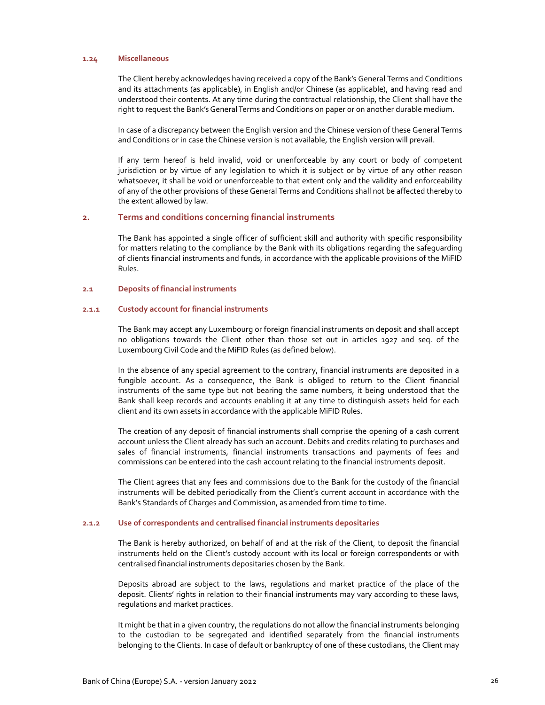## **1.24 Miscellaneous**

The Client hereby acknowledges having received a copy of the Bank's General Terms and Conditions and its attachments (as applicable), in English and/or Chinese (as applicable), and having read and understood their contents. At any time during the contractual relationship, the Client shall have the right to request the Bank's General Terms and Conditions on paper or on another durable medium.

In case of a discrepancy between the English version and the Chinese version of these General Terms and Conditions or in case the Chinese version is not available, the English version will prevail.

If any term hereof is held invalid, void or unenforceable by any court or body of competent jurisdiction or by virtue of any legislation to which it is subject or by virtue of any other reason whatsoever, it shall be void or unenforceable to that extent only and the validity and enforceability of any of the other provisions of these General Terms and Conditions shall not be affected thereby to the extent allowed by law.

## **2. Terms and conditions concerning financial instruments**

The Bank has appointed a single officer of sufficient skill and authority with specific responsibility for matters relating to the compliance by the Bank with its obligations regarding the safeguarding of clients financial instruments and funds, in accordance with the applicable provisions of the MiFID Rules.

## **2.1 Deposits of financial instruments**

## **2.1.1 Custody account for financial instruments**

The Bank may accept any Luxembourg or foreign financial instruments on deposit and shall accept no obligations towards the Client other than those set out in articles 1927 and seq. of the Luxembourg Civil Code and the MiFID Rules (as defined below).

In the absence of any special agreement to the contrary, financial instruments are deposited in a fungible account. As a consequence, the Bank is obliged to return to the Client financial instruments of the same type but not bearing the same numbers, it being understood that the Bank shall keep records and accounts enabling it at any time to distinguish assets held for each client and its own assets in accordance with the applicable MiFID Rules.

The creation of any deposit of financial instruments shall comprise the opening of a cash current account unless the Client already has such an account. Debits and credits relating to purchases and sales of financial instruments, financial instruments transactions and payments of fees and commissions can be entered into the cash account relating to the financial instruments deposit.

The Client agrees that any fees and commissions due to the Bank for the custody of the financial instruments will be debited periodically from the Client's current account in accordance with the Bank's Standards of Charges and Commission, as amended from time to time.

## **2.1.2 Use of correspondents and centralised financial instruments depositaries**

The Bank is hereby authorized, on behalf of and at the risk of the Client, to deposit the financial instruments held on the Client's custody account with its local or foreign correspondents or with centralised financial instruments depositaries chosen by the Bank.

Deposits abroad are subject to the laws, regulations and market practice of the place of the deposit. Clients' rights in relation to their financial instruments may vary according to these laws, regulations and market practices.

It might be that in a given country, the regulations do not allow the financial instruments belonging to the custodian to be segregated and identified separately from the financial instruments belonging to the Clients. In case of default or bankruptcy of one of these custodians, the Client may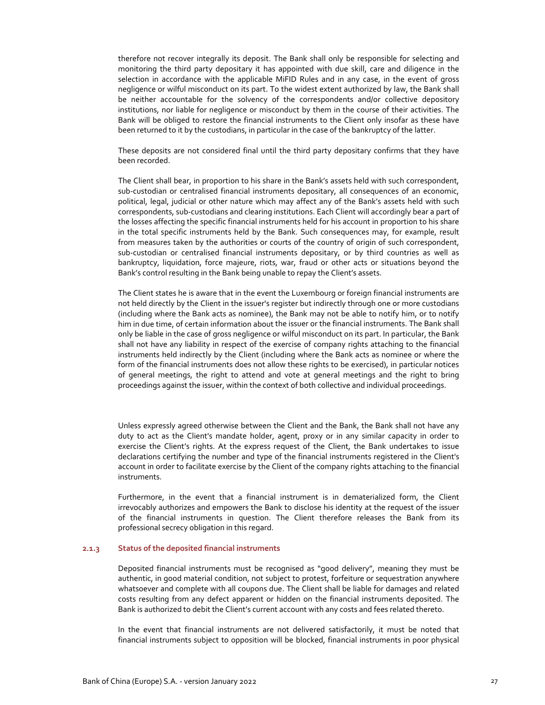therefore not recover integrally its deposit. The Bank shall only be responsible for selecting and monitoring the third party depositary it has appointed with due skill, care and diligence in the selection in accordance with the applicable MiFID Rules and in any case, in the event of gross negligence or wilful misconduct on its part. To the widest extent authorized by law, the Bank shall be neither accountable for the solvency of the correspondents and/or collective depository institutions, nor liable for negligence or misconduct by them in the course of their activities. The Bank will be obliged to restore the financial instruments to the Client only insofar as these have been returned to it by the custodians, in particular in the case of the bankruptcy of the latter.

These deposits are not considered final until the third party depositary confirms that they have been recorded.

The Client shall bear, in proportion to his share in the Bank's assets held with such correspondent, sub-custodian or centralised financial instruments depositary, all consequences of an economic, political, legal, judicial or other nature which may affect any of the Bank's assets held with such correspondents, sub‐custodians and clearing institutions. Each Client will accordingly bear a part of the losses affecting the specific financial instruments held for his account in proportion to his share in the total specific instruments held by the Bank. Such consequences may, for example, result from measures taken by the authorities or courts of the country of origin of such correspondent, sub-custodian or centralised financial instruments depositary, or by third countries as well as bankruptcy, liquidation, force majeure, riots, war, fraud or other acts or situations beyond the Bank's control resulting in the Bank being unable to repay the Client's assets.

The Client states he is aware that in the event the Luxembourg or foreign financial instruments are not held directly by the Client in the issuer's register but indirectly through one or more custodians (including where the Bank acts as nominee), the Bank may not be able to notify him, or to notify him in due time, of certain information about the issuer or the financial instruments. The Bank shall only be liable in the case of gross negligence or wilful misconduct on its part. In particular, the Bank shall not have any liability in respect of the exercise of company rights attaching to the financial instruments held indirectly by the Client (including where the Bank acts as nominee or where the form of the financial instruments does not allow these rights to be exercised), in particular notices of general meetings, the right to attend and vote at general meetings and the right to bring proceedings against the issuer, within the context of both collective and individual proceedings.

Unless expressly agreed otherwise between the Client and the Bank, the Bank shall not have any duty to act as the Client's mandate holder, agent, proxy or in any similar capacity in order to exercise the Client's rights. At the express request of the Client, the Bank undertakes to issue declarations certifying the number and type of the financial instruments registered in the Client's account in order to facilitate exercise by the Client of the company rights attaching to the financial instruments.

Furthermore, in the event that a financial instrument is in dematerialized form, the Client irrevocably authorizes and empowers the Bank to disclose his identity at the request of the issuer of the financial instruments in question. The Client therefore releases the Bank from its professional secrecy obligation in this regard.

## **2.1.3 Status of the deposited financial instruments**

Deposited financial instruments must be recognised as "good delivery", meaning they must be authentic, in good material condition, not subject to protest, forfeiture or sequestration anywhere whatsoever and complete with all coupons due. The Client shall be liable for damages and related costs resulting from any defect apparent or hidden on the financial instruments deposited. The Bank is authorized to debit the Client's current account with any costs and fees related thereto.

In the event that financial instruments are not delivered satisfactorily, it must be noted that financial instruments subject to opposition will be blocked, financial instruments in poor physical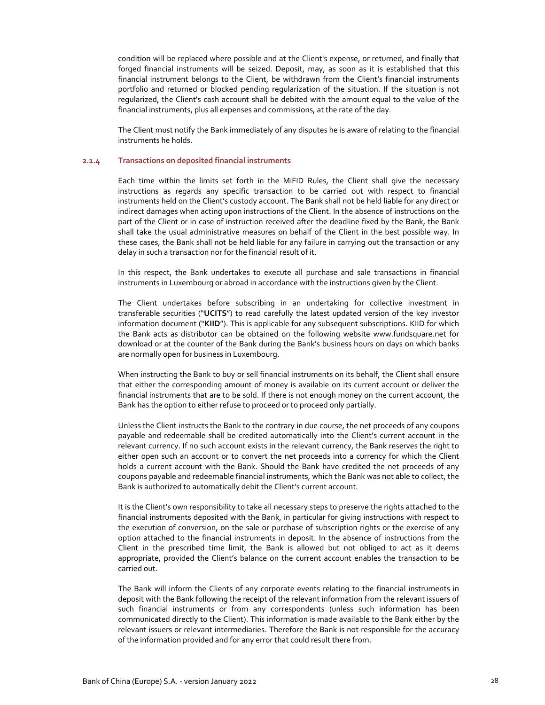condition will be replaced where possible and at the Client's expense, or returned, and finally that forged financial instruments will be seized. Deposit, may, as soon as it is established that this financial instrument belongs to the Client, be withdrawn from the Client's financial instruments portfolio and returned or blocked pending regularization of the situation. If the situation is not regularized, the Client's cash account shall be debited with the amount equal to the value of the financial instruments, plus all expenses and commissions, at the rate of the day.

The Client must notify the Bank immediately of any disputes he is aware of relating to the financial instruments he holds.

# **2.1.4 Transactions on deposited financial instruments**

Each time within the limits set forth in the MiFID Rules, the Client shall give the necessary instructions as regards any specific transaction to be carried out with respect to financial instruments held on the Client's custody account. The Bank shall not be held liable for any direct or indirect damages when acting upon instructions of the Client. In the absence of instructions on the part of the Client or in case of instruction received after the deadline fixed by the Bank, the Bank shall take the usual administrative measures on behalf of the Client in the best possible way. In these cases, the Bank shall not be held liable for any failure in carrying out the transaction or any delay in such a transaction nor for the financial result of it.

In this respect, the Bank undertakes to execute all purchase and sale transactions in financial instruments in Luxembourg or abroad in accordance with the instructions given by the Client.

The Client undertakes before subscribing in an undertaking for collective investment in transferable securities ("**UCITS**") to read carefully the latest updated version of the key investor information document ("**KIID**"). This is applicable for any subsequent subscriptions. KIID for which the Bank acts as distributor can be obtained on the following website www.fundsquare.net for download or at the counter of the Bank during the Bank's business hours on days on which banks are normally open for business in Luxembourg.

When instructing the Bank to buy or sell financial instruments on its behalf, the Client shall ensure that either the corresponding amount of money is available on its current account or deliver the financial instruments that are to be sold. If there is not enough money on the current account, the Bank has the option to either refuse to proceed or to proceed only partially.

Unless the Client instructs the Bank to the contrary in due course, the net proceeds of any coupons payable and redeemable shall be credited automatically into the Client's current account in the relevant currency. If no such account exists in the relevant currency, the Bank reserves the right to either open such an account or to convert the net proceeds into a currency for which the Client holds a current account with the Bank. Should the Bank have credited the net proceeds of any coupons payable and redeemable financial instruments, which the Bank was not able to collect, the Bank is authorized to automatically debit the Client's current account.

It is the Client's own responsibility to take all necessary steps to preserve the rights attached to the financial instruments deposited with the Bank, in particular for giving instructions with respect to the execution of conversion, on the sale or purchase of subscription rights or the exercise of any option attached to the financial instruments in deposit. In the absence of instructions from the Client in the prescribed time limit, the Bank is allowed but not obliged to act as it deems appropriate, provided the Client's balance on the current account enables the transaction to be carried out.

The Bank will inform the Clients of any corporate events relating to the financial instruments in deposit with the Bank following the receipt of the relevant information from the relevant issuers of such financial instruments or from any correspondents (unless such information has been communicated directly to the Client). This information is made available to the Bank either by the relevant issuers or relevant intermediaries. Therefore the Bank is not responsible for the accuracy of the information provided and for any error that could result there from.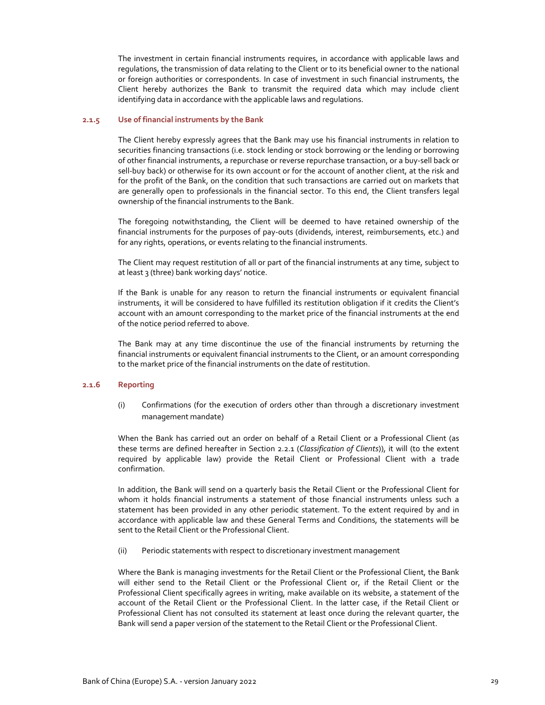The investment in certain financial instruments requires, in accordance with applicable laws and regulations, the transmission of data relating to the Client or to its beneficial owner to the national or foreign authorities or correspondents. In case of investment in such financial instruments, the Client hereby authorizes the Bank to transmit the required data which may include client identifying data in accordance with the applicable laws and regulations.

## **2.1.5 Use of financial instruments by the Bank**

The Client hereby expressly agrees that the Bank may use his financial instruments in relation to securities financing transactions (i.e. stock lending or stock borrowing or the lending or borrowing of other financial instruments, a repurchase or reverse repurchase transaction, or a buy‐sell back or sell-buy back) or otherwise for its own account or for the account of another client, at the risk and for the profit of the Bank, on the condition that such transactions are carried out on markets that are generally open to professionals in the financial sector. To this end, the Client transfers legal ownership of the financial instruments to the Bank.

The foregoing notwithstanding, the Client will be deemed to have retained ownership of the financial instruments for the purposes of pay‐outs (dividends, interest, reimbursements, etc.) and for any rights, operations, or events relating to the financial instruments.

The Client may request restitution of all or part of the financial instruments at any time, subject to at least 3 (three) bank working days' notice.

If the Bank is unable for any reason to return the financial instruments or equivalent financial instruments, it will be considered to have fulfilled its restitution obligation if it credits the Client's account with an amount corresponding to the market price of the financial instruments at the end of the notice period referred to above.

The Bank may at any time discontinue the use of the financial instruments by returning the financial instruments or equivalent financial instruments to the Client, or an amount corresponding to the market price of the financial instruments on the date of restitution.

## **2.1.6 Reporting**

(i) Confirmations (for the execution of orders other than through a discretionary investment management mandate)

When the Bank has carried out an order on behalf of a Retail Client or a Professional Client (as these terms are defined hereafter in Section 2.2.1 (*Classification of Clients*)), it will (to the extent required by applicable law) provide the Retail Client or Professional Client with a trade confirmation.

In addition, the Bank will send on a quarterly basis the Retail Client or the Professional Client for whom it holds financial instruments a statement of those financial instruments unless such a statement has been provided in any other periodic statement. To the extent required by and in accordance with applicable law and these General Terms and Conditions, the statements will be sent to the Retail Client or the Professional Client.

(ii) Periodic statements with respect to discretionary investment management

Where the Bank is managing investments for the Retail Client or the Professional Client, the Bank will either send to the Retail Client or the Professional Client or, if the Retail Client or the Professional Client specifically agrees in writing, make available on its website, a statement of the account of the Retail Client or the Professional Client. In the latter case, if the Retail Client or Professional Client has not consulted its statement at least once during the relevant quarter, the Bank will send a paper version of the statement to the Retail Client or the Professional Client.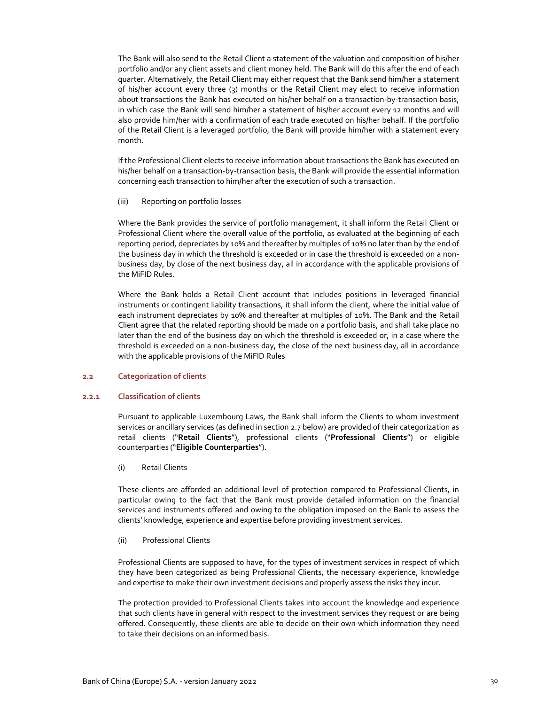The Bank will also send to the Retail Client a statement of the valuation and composition of his/her portfolio and/or any client assets and client money held. The Bank will do this after the end of each quarter. Alternatively, the Retail Client may either request that the Bank send him/her a statement of his/her account every three (3) months or the Retail Client may elect to receive information about transactions the Bank has executed on his/her behalf on a transaction-by-transaction basis, in which case the Bank will send him/her a statement of his/her account every 12 months and will also provide him/her with a confirmation of each trade executed on his/her behalf. If the portfolio of the Retail Client is a leveraged portfolio, the Bank will provide him/her with a statement every month.

If the Professional Client elects to receive information about transactions the Bank has executed on his/her behalf on a transaction‐by‐transaction basis, the Bank will provide the essential information concerning each transaction to him/her after the execution of such a transaction.

(iii) Reporting on portfolio losses

Where the Bank provides the service of portfolio management, it shall inform the Retail Client or Professional Client where the overall value of the portfolio, as evaluated at the beginning of each reporting period, depreciates by 10% and thereafter by multiples of 10% no later than by the end of the business day in which the threshold is exceeded or in case the threshold is exceeded on a nonbusiness day, by close of the next business day, all in accordance with the applicable provisions of the MiFID Rules.

Where the Bank holds a Retail Client account that includes positions in leveraged financial instruments or contingent liability transactions, it shall inform the client, where the initial value of each instrument depreciates by 10% and thereafter at multiples of 10%. The Bank and the Retail Client agree that the related reporting should be made on a portfolio basis, and shall take place no later than the end of the business day on which the threshold is exceeded or, in a case where the threshold is exceeded on a non-business day, the close of the next business day, all in accordance with the applicable provisions of the MiFID Rules

## **2.2 Categorization of clients**

#### **2.2.1 Classification of clients**

Pursuant to applicable Luxembourg Laws, the Bank shall inform the Clients to whom investment services or ancillary services (as defined in section 2.7 below) are provided of their categorization as retail clients ("**Retail Clients**"), professional clients ("**Professional Clients**") or eligible counterparties ("**Eligible Counterparties**").

#### (i) Retail Clients

These clients are afforded an additional level of protection compared to Professional Clients, in particular owing to the fact that the Bank must provide detailed information on the financial services and instruments offered and owing to the obligation imposed on the Bank to assess the clients' knowledge, experience and expertise before providing investment services.

#### (ii) Professional Clients

Professional Clients are supposed to have, for the types of investment services in respect of which they have been categorized as being Professional Clients, the necessary experience, knowledge and expertise to make their own investment decisions and properly assess the risks they incur.

The protection provided to Professional Clients takes into account the knowledge and experience that such clients have in general with respect to the investment services they request or are being offered. Consequently, these clients are able to decide on their own which information they need to take their decisions on an informed basis.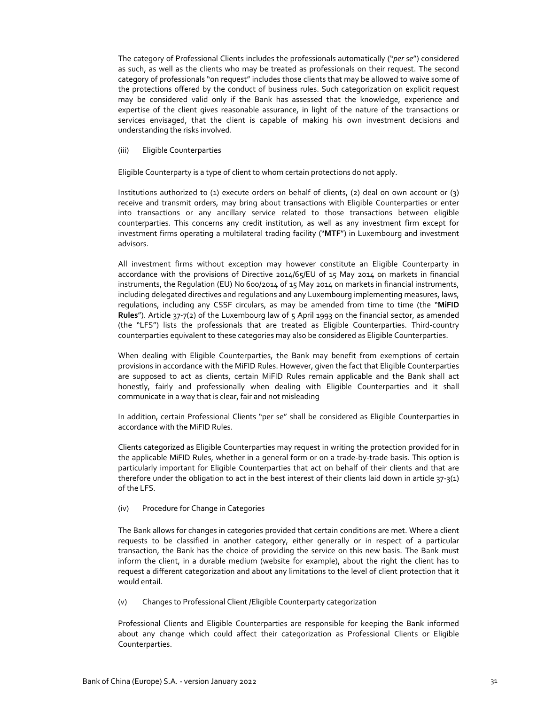The category of Professional Clients includes the professionals automatically ("*per se*") considered as such, as well as the clients who may be treated as professionals on their request. The second category of professionals "on request" includes those clients that may be allowed to waive some of the protections offered by the conduct of business rules. Such categorization on explicit request may be considered valid only if the Bank has assessed that the knowledge, experience and expertise of the client gives reasonable assurance, in light of the nature of the transactions or services envisaged, that the client is capable of making his own investment decisions and understanding the risks involved.

### (iii) Eligible Counterparties

Eligible Counterparty is a type of client to whom certain protections do not apply.

Institutions authorized to (1) execute orders on behalf of clients, (2) deal on own account or (3) receive and transmit orders, may bring about transactions with Eligible Counterparties or enter into transactions or any ancillary service related to those transactions between eligible counterparties. This concerns any credit institution, as well as any investment firm except for investment firms operating a multilateral trading facility ("**MTF**") in Luxembourg and investment advisors.

All investment firms without exception may however constitute an Eligible Counterparty in accordance with the provisions of Directive 2014/65/EU of 15 May 2014 on markets in financial instruments, the Regulation (EU) No 600/2014 of 15 May 2014 on markets in financial instruments, including delegated directives and regulations and any Luxembourg implementing measures, laws, regulations, including any CSSF circulars, as may be amended from time to time (the "**MiFID Rules**"). Article 37‐7(2) of the Luxembourg law of 5 April 1993 on the financial sector, as amended (the "LFS") lists the professionals that are treated as Eligible Counterparties. Third‐country counterparties equivalent to these categories may also be considered as Eligible Counterparties.

When dealing with Eligible Counterparties, the Bank may benefit from exemptions of certain provisions in accordance with the MiFID Rules. However, given the fact that Eligible Counterparties are supposed to act as clients, certain MiFID Rules remain applicable and the Bank shall act honestly, fairly and professionally when dealing with Eligible Counterparties and it shall communicate in a way that is clear, fair and not misleading

In addition, certain Professional Clients "per se" shall be considered as Eligible Counterparties in accordance with the MiFID Rules.

Clients categorized as Eligible Counterparties may request in writing the protection provided for in the applicable MiFID Rules, whether in a general form or on a trade‐by‐trade basis. This option is particularly important for Eligible Counterparties that act on behalf of their clients and that are therefore under the obligation to act in the best interest of their clients laid down in article 37‐3(1) of the LFS.

## (iv) Procedure for Change in Categories

The Bank allows for changes in categories provided that certain conditions are met. Where a client requests to be classified in another category, either generally or in respect of a particular transaction, the Bank has the choice of providing the service on this new basis. The Bank must inform the client, in a durable medium (website for example), about the right the client has to request a different categorization and about any limitations to the level of client protection that it would entail.

(v) Changes to Professional Client /Eligible Counterparty categorization

Professional Clients and Eligible Counterparties are responsible for keeping the Bank informed about any change which could affect their categorization as Professional Clients or Eligible Counterparties.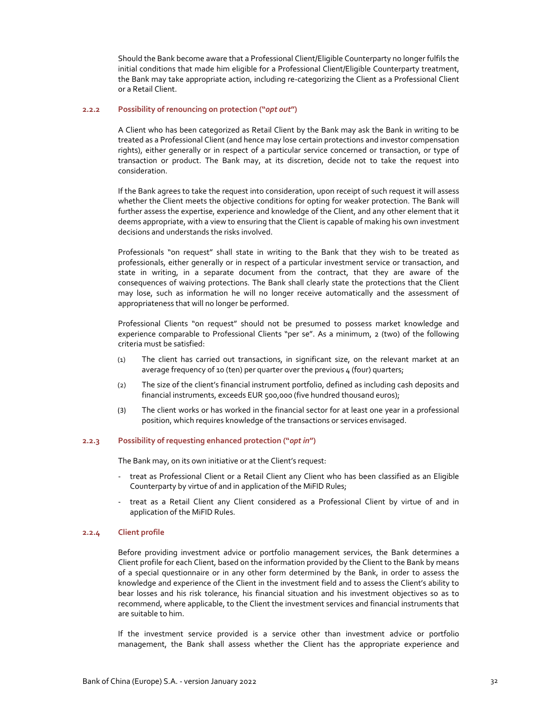Should the Bank become aware that a Professional Client/Eligible Counterparty no longer fulfils the initial conditions that made him eligible for a Professional Client/Eligible Counterparty treatment, the Bank may take appropriate action, including re‐categorizing the Client as a Professional Client or a Retail Client.

## **2.2.2 Possibility of renouncing on protection ("***opt out***")**

A Client who has been categorized as Retail Client by the Bank may ask the Bank in writing to be treated as a Professional Client (and hence may lose certain protections and investor compensation rights), either generally or in respect of a particular service concerned or transaction, or type of transaction or product. The Bank may, at its discretion, decide not to take the request into consideration.

If the Bank agrees to take the request into consideration, upon receipt of such request it will assess whether the Client meets the objective conditions for opting for weaker protection. The Bank will further assess the expertise, experience and knowledge of the Client, and any other element that it deems appropriate, with a view to ensuring that the Client is capable of making his own investment decisions and understands the risks involved.

Professionals "on request" shall state in writing to the Bank that they wish to be treated as professionals, either generally or in respect of a particular investment service or transaction, and state in writing, in a separate document from the contract, that they are aware of the consequences of waiving protections. The Bank shall clearly state the protections that the Client may lose, such as information he will no longer receive automatically and the assessment of appropriateness that will no longer be performed.

Professional Clients "on request" should not be presumed to possess market knowledge and experience comparable to Professional Clients "per se". As a minimum, 2 (two) of the following criteria must be satisfied:

- (1) The client has carried out transactions, in significant size, on the relevant market at an average frequency of 10 (ten) per quarter over the previous 4 (four) quarters;
- (2) The size of the client's financial instrument portfolio, defined as including cash deposits and financial instruments, exceeds EUR 500,000 (five hundred thousand euros);
- (3) The client works or has worked in the financial sector for at least one year in a professional position, which requires knowledge of the transactions or services envisaged.

## **2.2.3 Possibility of requesting enhanced protection ("***opt in***")**

The Bank may, on its own initiative or at the Client's request:

- ‐ treat as Professional Client or a Retail Client any Client who has been classified as an Eligible Counterparty by virtue of and in application of the MiFID Rules;
- ‐ treat as a Retail Client any Client considered as a Professional Client by virtue of and in application of the MiFID Rules.

## **2.2.4 Client profile**

Before providing investment advice or portfolio management services, the Bank determines a Client profile for each Client, based on the information provided by the Client to the Bank by means of a special questionnaire or in any other form determined by the Bank, in order to assess the knowledge and experience of the Client in the investment field and to assess the Client's ability to bear losses and his risk tolerance, his financial situation and his investment objectives so as to recommend, where applicable, to the Client the investment services and financial instruments that are suitable to him.

If the investment service provided is a service other than investment advice or portfolio management, the Bank shall assess whether the Client has the appropriate experience and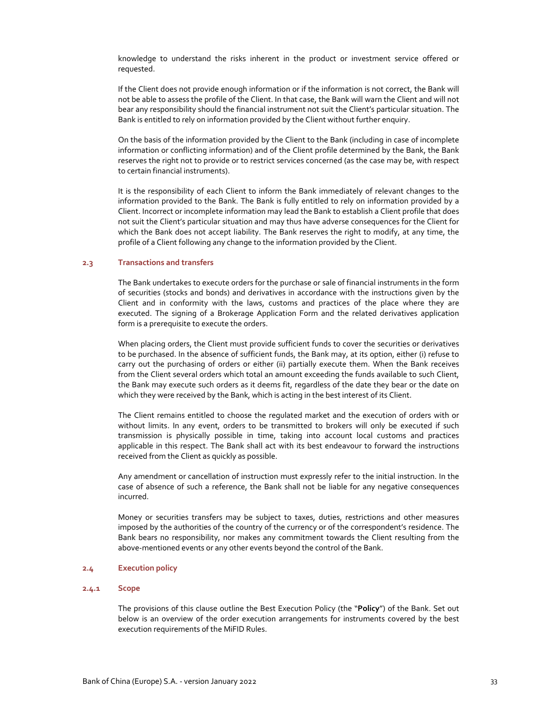knowledge to understand the risks inherent in the product or investment service offered or requested.

If the Client does not provide enough information or if the information is not correct, the Bank will not be able to assess the profile of the Client. In that case, the Bank will warn the Client and will not bear any responsibility should the financial instrument not suit the Client's particular situation. The Bank is entitled to rely on information provided by the Client without further enquiry.

On the basis of the information provided by the Client to the Bank (including in case of incomplete information or conflicting information) and of the Client profile determined by the Bank, the Bank reserves the right not to provide or to restrict services concerned (as the case may be, with respect to certain financial instruments).

It is the responsibility of each Client to inform the Bank immediately of relevant changes to the information provided to the Bank. The Bank is fully entitled to rely on information provided by a Client. Incorrect or incomplete information may lead the Bank to establish a Client profile that does not suit the Client's particular situation and may thus have adverse consequences for the Client for which the Bank does not accept liability. The Bank reserves the right to modify, at any time, the profile of a Client following any change to the information provided by the Client.

#### **2.3 Transactions and transfers**

The Bank undertakes to execute orders for the purchase or sale of financial instruments in the form of securities (stocks and bonds) and derivatives in accordance with the instructions given by the Client and in conformity with the laws, customs and practices of the place where they are executed. The signing of a Brokerage Application Form and the related derivatives application form is a prerequisite to execute the orders.

When placing orders, the Client must provide sufficient funds to cover the securities or derivatives to be purchased. In the absence of sufficient funds, the Bank may, at its option, either (i) refuse to carry out the purchasing of orders or either (ii) partially execute them. When the Bank receives from the Client several orders which total an amount exceeding the funds available to such Client, the Bank may execute such orders as it deems fit, regardless of the date they bear or the date on which they were received by the Bank, which is acting in the best interest of its Client.

The Client remains entitled to choose the regulated market and the execution of orders with or without limits. In any event, orders to be transmitted to brokers will only be executed if such transmission is physically possible in time, taking into account local customs and practices applicable in this respect. The Bank shall act with its best endeavour to forward the instructions received from the Client as quickly as possible.

Any amendment or cancellation of instruction must expressly refer to the initial instruction. In the case of absence of such a reference, the Bank shall not be liable for any negative consequences incurred.

Money or securities transfers may be subject to taxes, duties, restrictions and other measures imposed by the authorities of the country of the currency or of the correspondent's residence. The Bank bears no responsibility, nor makes any commitment towards the Client resulting from the above‐mentioned events or any other events beyond the control of the Bank.

#### **2.4 Execution policy**

## **2.4.1 Scope**

The provisions of this clause outline the Best Execution Policy (the "**Policy**") of the Bank. Set out below is an overview of the order execution arrangements for instruments covered by the best execution requirements of the MiFID Rules.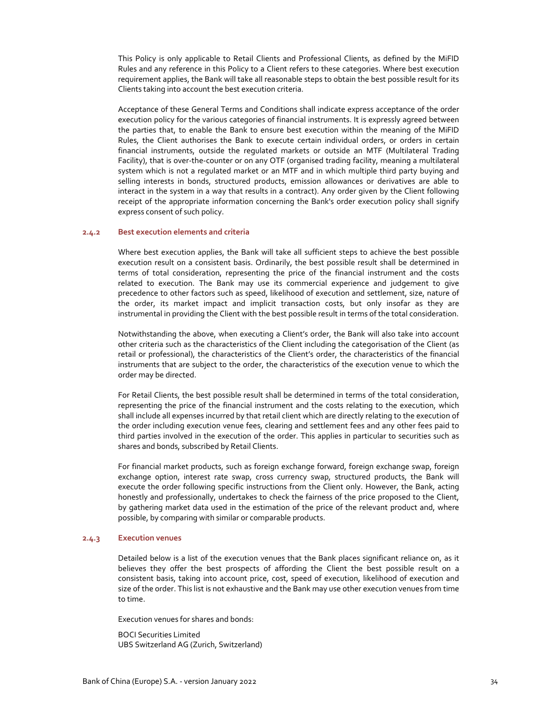This Policy is only applicable to Retail Clients and Professional Clients, as defined by the MiFID Rules and any reference in this Policy to a Client refers to these categories. Where best execution requirement applies, the Bank will take all reasonable steps to obtain the best possible result for its Clients taking into account the best execution criteria.

Acceptance of these General Terms and Conditions shall indicate express acceptance of the order execution policy for the various categories of financial instruments. It is expressly agreed between the parties that, to enable the Bank to ensure best execution within the meaning of the MiFID Rules, the Client authorises the Bank to execute certain individual orders, or orders in certain financial instruments, outside the regulated markets or outside an MTF (Multilateral Trading Facility), that is over-the-counter or on any OTF (organised trading facility, meaning a multilateral system which is not a regulated market or an MTF and in which multiple third party buying and selling interests in bonds, structured products, emission allowances or derivatives are able to interact in the system in a way that results in a contract). Any order given by the Client following receipt of the appropriate information concerning the Bank's order execution policy shall signify express consent of such policy.

#### **2.4.2 Best execution elements and criteria**

Where best execution applies, the Bank will take all sufficient steps to achieve the best possible execution result on a consistent basis. Ordinarily, the best possible result shall be determined in terms of total consideration, representing the price of the financial instrument and the costs related to execution. The Bank may use its commercial experience and judgement to give precedence to other factors such as speed, likelihood of execution and settlement, size, nature of the order, its market impact and implicit transaction costs, but only insofar as they are instrumental in providing the Client with the best possible result in terms of the total consideration.

Notwithstanding the above, when executing a Client's order, the Bank will also take into account other criteria such as the characteristics of the Client including the categorisation of the Client (as retail or professional), the characteristics of the Client's order, the characteristics of the financial instruments that are subject to the order, the characteristics of the execution venue to which the order may be directed.

For Retail Clients, the best possible result shall be determined in terms of the total consideration, representing the price of the financial instrument and the costs relating to the execution, which shall include all expenses incurred by that retail client which are directly relating to the execution of the order including execution venue fees, clearing and settlement fees and any other fees paid to third parties involved in the execution of the order. This applies in particular to securities such as shares and bonds, subscribed by Retail Clients.

For financial market products, such as foreign exchange forward, foreign exchange swap, foreign exchange option, interest rate swap, cross currency swap, structured products, the Bank will execute the order following specific instructions from the Client only. However, the Bank, acting honestly and professionally, undertakes to check the fairness of the price proposed to the Client, by gathering market data used in the estimation of the price of the relevant product and, where possible, by comparing with similar or comparable products.

## **2.4.3 Execution venues**

Detailed below is a list of the execution venues that the Bank places significant reliance on, as it believes they offer the best prospects of affording the Client the best possible result on a consistent basis, taking into account price, cost, speed of execution, likelihood of execution and size of the order. This list is not exhaustive and the Bank may use other execution venues from time to time.

Execution venues for shares and bonds:

BOCI Securities Limited UBS Switzerland AG (Zurich, Switzerland)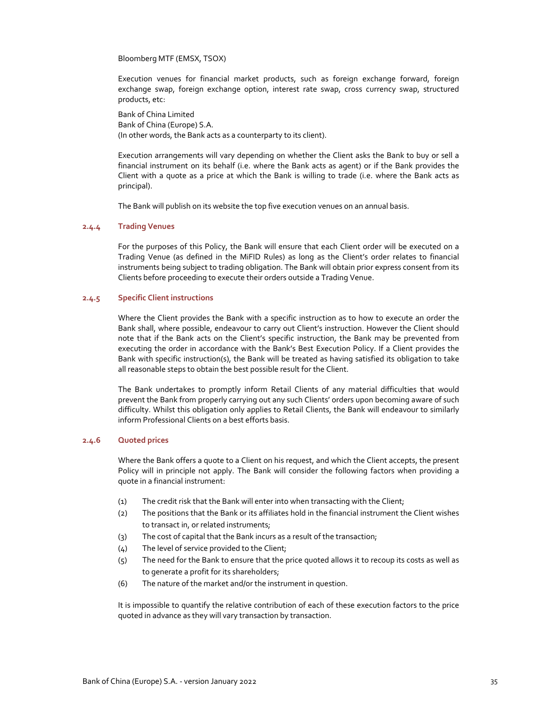Bloomberg MTF (EMSX, TSOX)

Execution venues for financial market products, such as foreign exchange forward, foreign exchange swap, foreign exchange option, interest rate swap, cross currency swap, structured products, etc:

Bank of China Limited Bank of China (Europe) S.A. (In other words, the Bank acts as a counterparty to its client).

Execution arrangements will vary depending on whether the Client asks the Bank to buy or sell a financial instrument on its behalf (i.e. where the Bank acts as agent) or if the Bank provides the Client with a quote as a price at which the Bank is willing to trade (i.e. where the Bank acts as principal).

The Bank will publish on its website the top five execution venues on an annual basis.

# **2.4.4 Trading Venues**

For the purposes of this Policy, the Bank will ensure that each Client order will be executed on a Trading Venue (as defined in the MiFID Rules) as long as the Client's order relates to financial instruments being subject to trading obligation. The Bank will obtain prior express consent from its Clients before proceeding to execute their orders outside a Trading Venue.

## **2.4.5 Specific Client instructions**

Where the Client provides the Bank with a specific instruction as to how to execute an order the Bank shall, where possible, endeavour to carry out Client's instruction. However the Client should note that if the Bank acts on the Client's specific instruction, the Bank may be prevented from executing the order in accordance with the Bank's Best Execution Policy. If a Client provides the Bank with specific instruction(s), the Bank will be treated as having satisfied its obligation to take all reasonable steps to obtain the best possible result for the Client.

The Bank undertakes to promptly inform Retail Clients of any material difficulties that would prevent the Bank from properly carrying out any such Clients' orders upon becoming aware of such difficulty. Whilst this obligation only applies to Retail Clients, the Bank will endeavour to similarly inform Professional Clients on a best efforts basis.

## **2.4.6 Quoted prices**

Where the Bank offers a quote to a Client on his request, and which the Client accepts, the present Policy will in principle not apply. The Bank will consider the following factors when providing a quote in a financial instrument:

- (1) The credit risk that the Bank will enter into when transacting with the Client;
- (2) The positions that the Bank or its affiliates hold in the financial instrument the Client wishes to transact in, or related instruments;
- (3) The cost of capital that the Bank incurs as a result of the transaction;
- (4) The level of service provided to the Client;
- (5) The need for the Bank to ensure that the price quoted allows it to recoup its costs as well as to generate a profit for its shareholders;
- (6) The nature of the market and/or the instrument in question.

It is impossible to quantify the relative contribution of each of these execution factors to the price quoted in advance as they will vary transaction by transaction.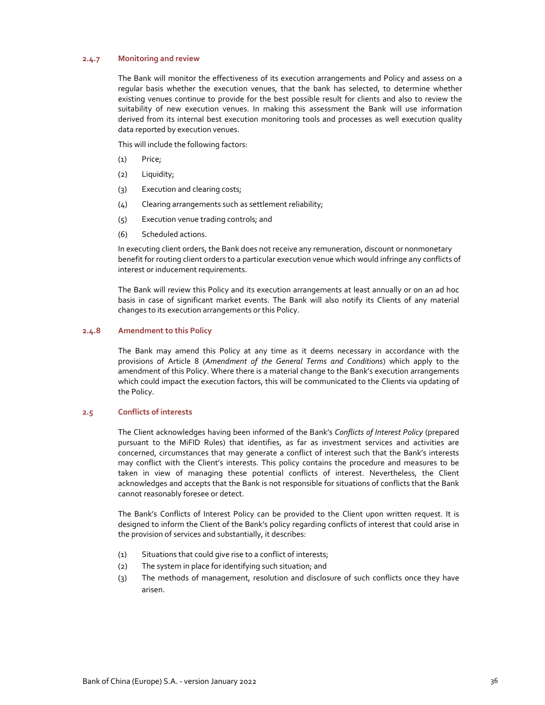## **2.4.7 Monitoring and review**

The Bank will monitor the effectiveness of its execution arrangements and Policy and assess on a regular basis whether the execution venues, that the bank has selected, to determine whether existing venues continue to provide for the best possible result for clients and also to review the suitability of new execution venues. In making this assessment the Bank will use information derived from its internal best execution monitoring tools and processes as well execution quality data reported by execution venues.

This will include the following factors:

- (1) Price;
- (2) Liquidity;
- (3) Execution and clearing costs;
- (4) Clearing arrangements such as settlement reliability;
- (5) Execution venue trading controls; and
- (6) Scheduled actions.

In executing client orders, the Bank does not receive any remuneration, discount or nonmonetary benefit for routing client orders to a particular execution venue which would infringe any conflicts of interest or inducement requirements.

The Bank will review this Policy and its execution arrangements at least annually or on an ad hoc basis in case of significant market events. The Bank will also notify its Clients of any material changes to its execution arrangements or this Policy.

## **2.4.8 Amendment to this Policy**

The Bank may amend this Policy at any time as it deems necessary in accordance with the provisions of Article 8 (*Amendment of the General Terms and Conditions*) which apply to the amendment of this Policy. Where there is a material change to the Bank's execution arrangements which could impact the execution factors, this will be communicated to the Clients via updating of the Policy.

# **2.5 Conflicts of interests**

The Client acknowledges having been informed of the Bank's *Conflicts of Interest Policy* (prepared pursuant to the MiFID Rules) that identifies, as far as investment services and activities are concerned, circumstances that may generate a conflict of interest such that the Bank's interests may conflict with the Client's interests. This policy contains the procedure and measures to be taken in view of managing these potential conflicts of interest. Nevertheless, the Client acknowledges and accepts that the Bank is not responsible for situations of conflicts that the Bank cannot reasonably foresee or detect.

The Bank's Conflicts of Interest Policy can be provided to the Client upon written request. It is designed to inform the Client of the Bank's policy regarding conflicts of interest that could arise in the provision of services and substantially, it describes:

- (1) Situations that could give rise to a conflict of interests;
- (2) The system in place for identifying such situation; and
- (3) The methods of management, resolution and disclosure of such conflicts once they have arisen.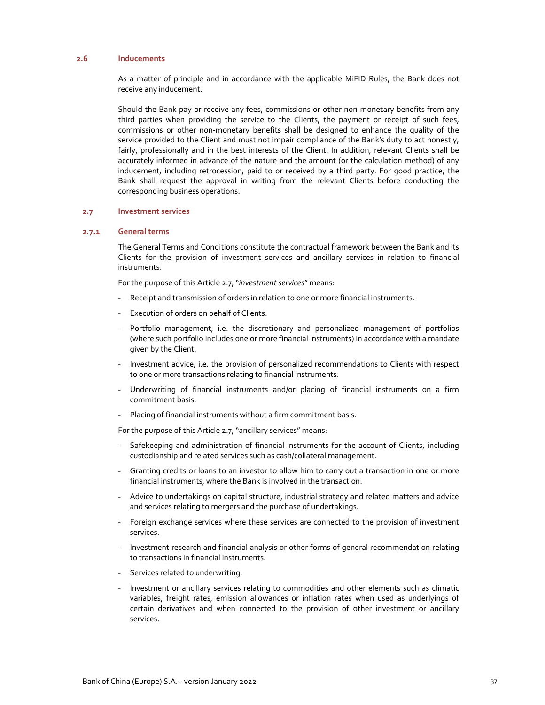## **2.6 Inducements**

As a matter of principle and in accordance with the applicable MiFID Rules, the Bank does not receive any inducement.

Should the Bank pay or receive any fees, commissions or other non-monetary benefits from any third parties when providing the service to the Clients, the payment or receipt of such fees, commissions or other non‐monetary benefits shall be designed to enhance the quality of the service provided to the Client and must not impair compliance of the Bank's duty to act honestly, fairly, professionally and in the best interests of the Client. In addition, relevant Clients shall be accurately informed in advance of the nature and the amount (or the calculation method) of any inducement, including retrocession, paid to or received by a third party. For good practice, the Bank shall request the approval in writing from the relevant Clients before conducting the corresponding business operations.

## **2.7 Investment services**

## **2.7.1 General terms**

The General Terms and Conditions constitute the contractual framework between the Bank and its Clients for the provision of investment services and ancillary services in relation to financial instruments.

For the purpose of this Article 2.7, "*investment services"* means:

- Receipt and transmission of orders in relation to one or more financial instruments.
- Execution of orders on behalf of Clients.
- Portfolio management, i.e. the discretionary and personalized management of portfolios (where such portfolio includes one or more financial instruments) in accordance with a mandate given by the Client.
- Investment advice, i.e. the provision of personalized recommendations to Clients with respect to one or more transactions relating to financial instruments.
- Underwriting of financial instruments and/or placing of financial instruments on a firm commitment basis.
- Placing of financial instruments without a firm commitment basis.

For the purpose of this Article 2.7, "ancillary services" means:

- Safekeeping and administration of financial instruments for the account of Clients, including custodianship and related services such as cash/collateral management.
- Granting credits or loans to an investor to allow him to carry out a transaction in one or more financial instruments, where the Bank is involved in the transaction.
- Advice to undertakings on capital structure, industrial strategy and related matters and advice and services relating to mergers and the purchase of undertakings.
- Foreign exchange services where these services are connected to the provision of investment services.
- Investment research and financial analysis or other forms of general recommendation relating to transactions in financial instruments.
- Services related to underwriting.
- Investment or ancillary services relating to commodities and other elements such as climatic variables, freight rates, emission allowances or inflation rates when used as underlyings of certain derivatives and when connected to the provision of other investment or ancillary services.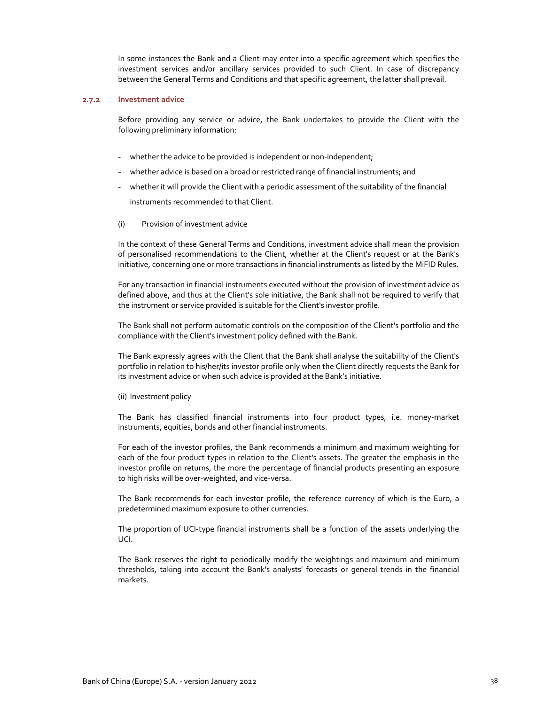In some instances the Bank and a Client may enter into a specific agreement which specifies the investment services and/or ancillary services provided to such Client. In case of discrepancy between the General Terms and Conditions and that specific agreement, the latter shall prevail.

#### **2.7.2 Investment advice**

Before providing any service or advice, the Bank undertakes to provide the Client with the following preliminary information:

- whether the advice to be provided is independent or non-independent;
- whether advice is based on a broad or restricted range of financial instruments; and
- whether it will provide the Client with a periodic assessment of the suitability of the financial instruments recommended to that Client.
- (i) Provision of investment advice

In the context of these General Terms and Conditions, investment advice shall mean the provision of personalised recommendations to the Client, whether at the Client's request or at the Bank's initiative, concerning one or more transactions in financial instruments as listed by the MiFID Rules.

For any transaction in financial instruments executed without the provision of investment advice as defined above, and thus at the Client's sole initiative, the Bank shall not be required to verify that the instrument or service provided is suitable for the Client's investor profile.

The Bank shall not perform automatic controls on the composition of the Client's portfolio and the compliance with the Client's investment policy defined with the Bank.

The Bank expressly agrees with the Client that the Bank shall analyse the suitability of the Client's portfolio in relation to his/her/its investor profile only when the Client directly requests the Bank for its investment advice or when such advice is provided at the Bank's initiative.

#### (ii) Investment policy

The Bank has classified financial instruments into four product types, i.e. money‐market instruments, equities, bonds and other financial instruments.

For each of the investor profiles, the Bank recommends a minimum and maximum weighting for each of the four product types in relation to the Client's assets. The greater the emphasis in the investor profile on returns, the more the percentage of financial products presenting an exposure to high risks will be over‐weighted, and vice‐versa.

The Bank recommends for each investor profile, the reference currency of which is the Euro, a predetermined maximum exposure to other currencies.

The proportion of UCI-type financial instruments shall be a function of the assets underlying the UCI.

The Bank reserves the right to periodically modify the weightings and maximum and minimum thresholds, taking into account the Bank's analysts' forecasts or general trends in the financial markets.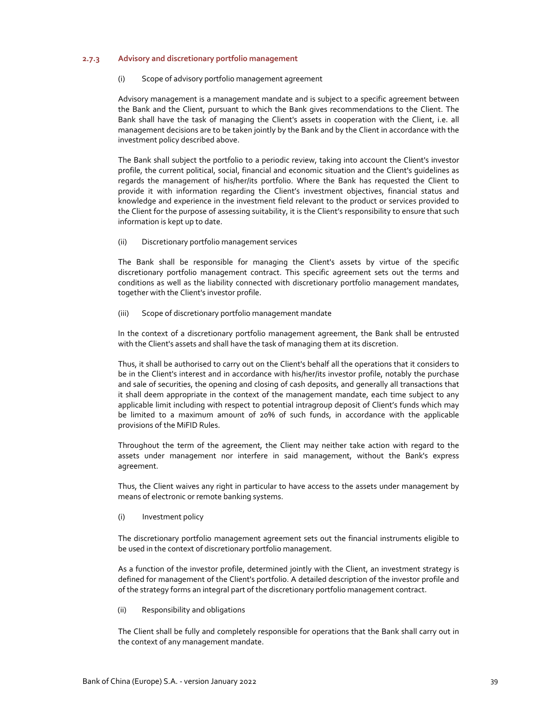## **2.7.3 Advisory and discretionary portfolio management**

## (i) Scope of advisory portfolio management agreement

Advisory management is a management mandate and is subject to a specific agreement between the Bank and the Client, pursuant to which the Bank gives recommendations to the Client. The Bank shall have the task of managing the Client's assets in cooperation with the Client, i.e. all management decisions are to be taken jointly by the Bank and by the Client in accordance with the investment policy described above.

The Bank shall subject the portfolio to a periodic review, taking into account the Client's investor profile, the current political, social, financial and economic situation and the Client's guidelines as regards the management of his/her/its portfolio. Where the Bank has requested the Client to provide it with information regarding the Client's investment objectives, financial status and knowledge and experience in the investment field relevant to the product or services provided to the Client for the purpose of assessing suitability, it is the Client's responsibility to ensure that such information is kept up to date.

## (ii) Discretionary portfolio management services

The Bank shall be responsible for managing the Client's assets by virtue of the specific discretionary portfolio management contract. This specific agreement sets out the terms and conditions as well as the liability connected with discretionary portfolio management mandates, together with the Client's investor profile.

(iii) Scope of discretionary portfolio management mandate

In the context of a discretionary portfolio management agreement, the Bank shall be entrusted with the Client's assets and shall have the task of managing them at its discretion.

Thus, it shall be authorised to carry out on the Client's behalf all the operations that it considers to be in the Client's interest and in accordance with his/her/its investor profile, notably the purchase and sale of securities, the opening and closing of cash deposits, and generally all transactions that it shall deem appropriate in the context of the management mandate, each time subject to any applicable limit including with respect to potential intragroup deposit of Client's funds which may be limited to a maximum amount of 20% of such funds, in accordance with the applicable provisions of the MiFID Rules.

Throughout the term of the agreement, the Client may neither take action with regard to the assets under management nor interfere in said management, without the Bank's express agreement.

Thus, the Client waives any right in particular to have access to the assets under management by means of electronic or remote banking systems.

(i) Investment policy

The discretionary portfolio management agreement sets out the financial instruments eligible to be used in the context of discretionary portfolio management.

As a function of the investor profile, determined jointly with the Client, an investment strategy is defined for management of the Client's portfolio. A detailed description of the investor profile and of the strategy forms an integral part of the discretionary portfolio management contract.

(ii) Responsibility and obligations

The Client shall be fully and completely responsible for operations that the Bank shall carry out in the context of any management mandate.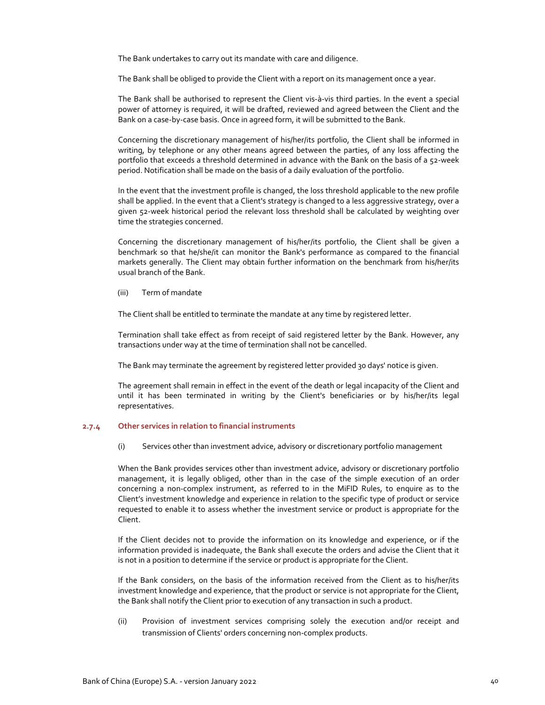The Bank undertakes to carry out its mandate with care and diligence.

The Bank shall be obliged to provide the Client with a report on its management once a year.

The Bank shall be authorised to represent the Client vis‐à‐vis third parties. In the event a special power of attorney is required, it will be drafted, reviewed and agreed between the Client and the Bank on a case‐by‐case basis. Once in agreed form, it will be submitted to the Bank.

Concerning the discretionary management of his/her/its portfolio, the Client shall be informed in writing, by telephone or any other means agreed between the parties, of any loss affecting the portfolio that exceeds a threshold determined in advance with the Bank on the basis of a 52-week period. Notification shall be made on the basis of a daily evaluation of the portfolio.

In the event that the investment profile is changed, the loss threshold applicable to the new profile shall be applied. In the event that a Client's strategy is changed to a less aggressive strategy, over a given 52‐week historical period the relevant loss threshold shall be calculated by weighting over time the strategies concerned.

Concerning the discretionary management of his/her/its portfolio, the Client shall be given a benchmark so that he/she/it can monitor the Bank's performance as compared to the financial markets generally. The Client may obtain further information on the benchmark from his/her/its usual branch of the Bank.

(iii) Term of mandate

The Client shall be entitled to terminate the mandate at any time by registered letter.

Termination shall take effect as from receipt of said registered letter by the Bank. However, any transactions under way at the time of termination shall not be cancelled.

The Bank may terminate the agreement by registered letter provided 30 days' notice is given.

The agreement shall remain in effect in the event of the death or legal incapacity of the Client and until it has been terminated in writing by the Client's beneficiaries or by his/her/its legal representatives.

## **2.7.4 Other services in relation to financial instruments**

(i) Services other than investment advice, advisory or discretionary portfolio management

When the Bank provides services other than investment advice, advisory or discretionary portfolio management, it is legally obliged, other than in the case of the simple execution of an order concerning a non-complex instrument, as referred to in the MiFID Rules, to enquire as to the Client's investment knowledge and experience in relation to the specific type of product or service requested to enable it to assess whether the investment service or product is appropriate for the Client.

If the Client decides not to provide the information on its knowledge and experience, or if the information provided is inadequate, the Bank shall execute the orders and advise the Client that it is not in a position to determine if the service or product is appropriate for the Client.

If the Bank considers, on the basis of the information received from the Client as to his/her/its investment knowledge and experience, that the product or service is not appropriate for the Client, the Bank shall notify the Client prior to execution of any transaction in such a product.

(ii) Provision of investment services comprising solely the execution and/or receipt and transmission of Clients' orders concerning non‐complex products.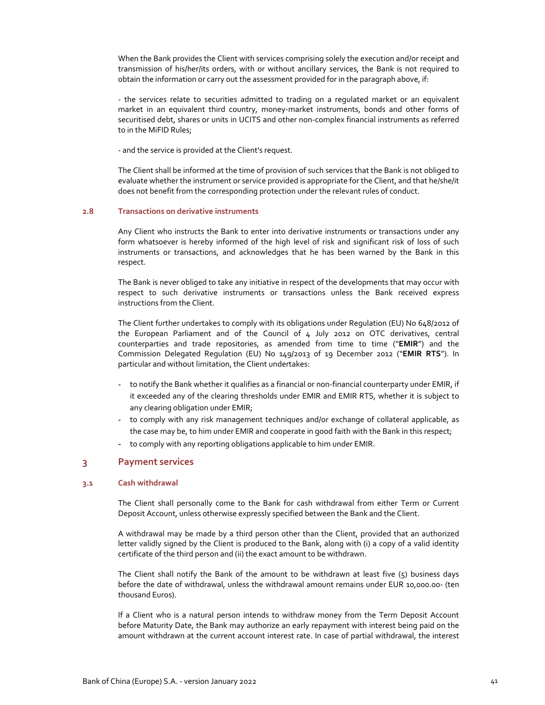When the Bank provides the Client with services comprising solely the execution and/or receipt and transmission of his/her/its orders, with or without ancillary services, the Bank is not required to obtain the information or carry out the assessment provided for in the paragraph above, if:

‐ the services relate to securities admitted to trading on a regulated market or an equivalent market in an equivalent third country, money-market instruments, bonds and other forms of securitised debt, shares or units in UCITS and other non‐complex financial instruments as referred to in the MiFID Rules;

‐ and the service is provided at the Client's request.

The Client shall be informed at the time of provision of such services that the Bank is not obliged to evaluate whether the instrument or service provided is appropriate for the Client, and that he/she/it does not benefit from the corresponding protection under the relevant rules of conduct.

#### **2.8 Transactions on derivative instruments**

Any Client who instructs the Bank to enter into derivative instruments or transactions under any form whatsoever is hereby informed of the high level of risk and significant risk of loss of such instruments or transactions, and acknowledges that he has been warned by the Bank in this respect.

The Bank is never obliged to take any initiative in respect of the developments that may occur with respect to such derivative instruments or transactions unless the Bank received express instructions from the Client.

The Client further undertakes to comply with its obligations under Regulation (EU) No 648/2012 of the European Parliament and of the Council of 4 July 2012 on OTC derivatives, central counterparties and trade repositories, as amended from time to time ("**EMIR**") and the Commission Delegated Regulation (EU) No 149/2013 of 19 December 2012 ("**EMIR RTS**"). In particular and without limitation, the Client undertakes:

- to notify the Bank whether it qualifies as a financial or non-financial counterparty under EMIR, if it exceeded any of the clearing thresholds under EMIR and EMIR RTS, whether it is subject to any clearing obligation under EMIR;
- to comply with any risk management techniques and/or exchange of collateral applicable, as the case may be, to him under EMIR and cooperate in good faith with the Bank in this respect;
- to comply with any reporting obligations applicable to him under EMIR.

# **3 Payment services**

## **3.1 Cash withdrawal**

The Client shall personally come to the Bank for cash withdrawal from either Term or Current Deposit Account, unless otherwise expressly specified between the Bank and the Client.

A withdrawal may be made by a third person other than the Client, provided that an authorized letter validly signed by the Client is produced to the Bank, along with (i) a copy of a valid identity certificate of the third person and (ii) the exact amount to be withdrawn.

The Client shall notify the Bank of the amount to be withdrawn at least five  $(5)$  business days before the date of withdrawal, unless the withdrawal amount remains under EUR 10,000.00‐ (ten thousand Euros).

If a Client who is a natural person intends to withdraw money from the Term Deposit Account before Maturity Date, the Bank may authorize an early repayment with interest being paid on the amount withdrawn at the current account interest rate. In case of partial withdrawal, the interest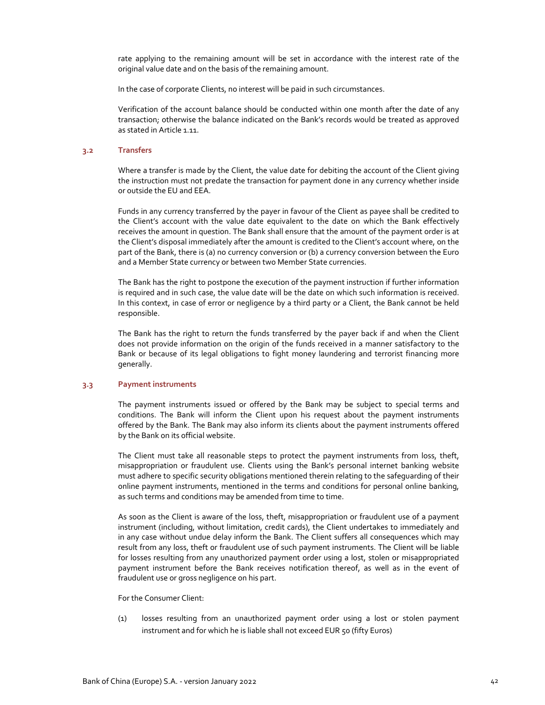rate applying to the remaining amount will be set in accordance with the interest rate of the original value date and on the basis of the remaining amount.

In the case of corporate Clients, no interest will be paid in such circumstances.

Verification of the account balance should be conducted within one month after the date of any transaction; otherwise the balance indicated on the Bank's records would be treated as approved as stated in Article 1.11.

#### **3.2 Transfers**

Where a transfer is made by the Client, the value date for debiting the account of the Client giving the instruction must not predate the transaction for payment done in any currency whether inside or outside the EU and EEA.

Funds in any currency transferred by the payer in favour of the Client as payee shall be credited to the Client's account with the value date equivalent to the date on which the Bank effectively receives the amount in question. The Bank shall ensure that the amount of the payment order is at the Client's disposal immediately after the amount is credited to the Client's account where, on the part of the Bank, there is (a) no currency conversion or (b) a currency conversion between the Euro and a Member State currency or between two Member State currencies.

The Bank has the right to postpone the execution of the payment instruction if further information is required and in such case, the value date will be the date on which such information is received. In this context, in case of error or negligence by a third party or a Client, the Bank cannot be held responsible.

The Bank has the right to return the funds transferred by the payer back if and when the Client does not provide information on the origin of the funds received in a manner satisfactory to the Bank or because of its legal obligations to fight money laundering and terrorist financing more generally.

#### **3.3 Payment instruments**

The payment instruments issued or offered by the Bank may be subject to special terms and conditions. The Bank will inform the Client upon his request about the payment instruments offered by the Bank. The Bank may also inform its clients about the payment instruments offered by the Bank on its official website.

The Client must take all reasonable steps to protect the payment instruments from loss, theft, misappropriation or fraudulent use. Clients using the Bank's personal internet banking website must adhere to specific security obligations mentioned therein relating to the safeguarding of their online payment instruments, mentioned in the terms and conditions for personal online banking, as such terms and conditions may be amended from time to time.

As soon as the Client is aware of the loss, theft, misappropriation or fraudulent use of a payment instrument (including, without limitation, credit cards), the Client undertakes to immediately and in any case without undue delay inform the Bank. The Client suffers all consequences which may result from any loss, theft or fraudulent use of such payment instruments. The Client will be liable for losses resulting from any unauthorized payment order using a lost, stolen or misappropriated payment instrument before the Bank receives notification thereof, as well as in the event of fraudulent use or gross negligence on his part.

For the Consumer Client:

(1) losses resulting from an unauthorized payment order using a lost or stolen payment instrument and for which he is liable shall not exceed EUR 50 (fifty Euros)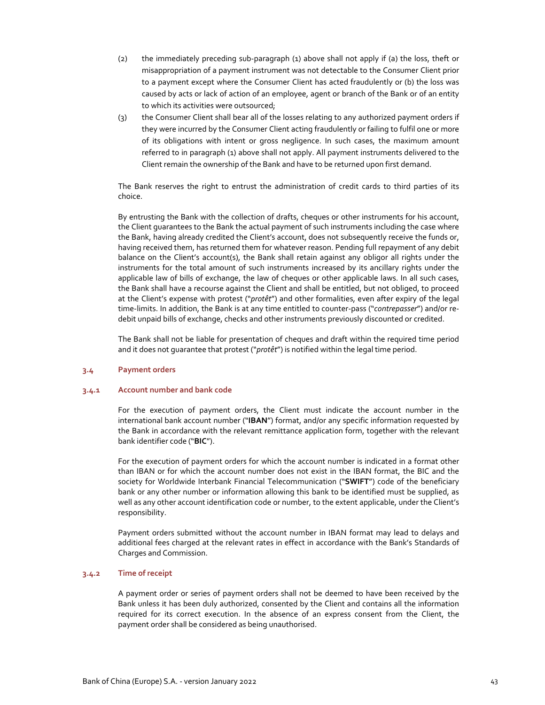- (2) the immediately preceding sub‐paragraph (1) above shall not apply if (a) the loss, theft or misappropriation of a payment instrument was not detectable to the Consumer Client prior to a payment except where the Consumer Client has acted fraudulently or (b) the loss was caused by acts or lack of action of an employee, agent or branch of the Bank or of an entity to which its activities were outsourced;
- (3) the Consumer Client shall bear all of the losses relating to any authorized payment orders if they were incurred by the Consumer Client acting fraudulently or failing to fulfil one or more of its obligations with intent or gross negligence. In such cases, the maximum amount referred to in paragraph (1) above shall not apply. All payment instruments delivered to the Client remain the ownership of the Bank and have to be returned upon first demand.

The Bank reserves the right to entrust the administration of credit cards to third parties of its choice.

By entrusting the Bank with the collection of drafts, cheques or other instruments for his account, the Client guarantees to the Bank the actual payment of such instruments including the case where the Bank, having already credited the Client's account, does not subsequently receive the funds or, having received them, has returned them for whatever reason. Pending full repayment of any debit balance on the Client's account(s), the Bank shall retain against any obligor all rights under the instruments for the total amount of such instruments increased by its ancillary rights under the applicable law of bills of exchange, the law of cheques or other applicable laws. In all such cases, the Bank shall have a recourse against the Client and shall be entitled, but not obliged, to proceed at the Client's expense with protest ("*protêt*") and other formalities, even after expiry of the legal time‐limits. In addition, the Bank is at any time entitled to counter‐pass ("*contrepasser*") and/or re‐ debit unpaid bills of exchange, checks and other instruments previously discounted or credited.

The Bank shall not be liable for presentation of cheques and draft within the required time period and it does not guarantee that protest ("*protêt*") is notified within the legal time period.

#### **3.4 Payment orders**

#### **3.4.1 Account number and bank code**

For the execution of payment orders, the Client must indicate the account number in the international bank account number ("**IBAN**") format, and/or any specific information requested by the Bank in accordance with the relevant remittance application form, together with the relevant bank identifier code ("**BIC**").

For the execution of payment orders for which the account number is indicated in a format other than IBAN or for which the account number does not exist in the IBAN format, the BIC and the society for Worldwide Interbank Financial Telecommunication ("**SWIFT**") code of the beneficiary bank or any other number or information allowing this bank to be identified must be supplied, as well as any other account identification code or number, to the extent applicable, under the Client's responsibility.

Payment orders submitted without the account number in IBAN format may lead to delays and additional fees charged at the relevant rates in effect in accordance with the Bank's Standards of Charges and Commission.

## **3.4.2 Time of receipt**

A payment order or series of payment orders shall not be deemed to have been received by the Bank unless it has been duly authorized, consented by the Client and contains all the information required for its correct execution. In the absence of an express consent from the Client, the payment order shall be considered as being unauthorised.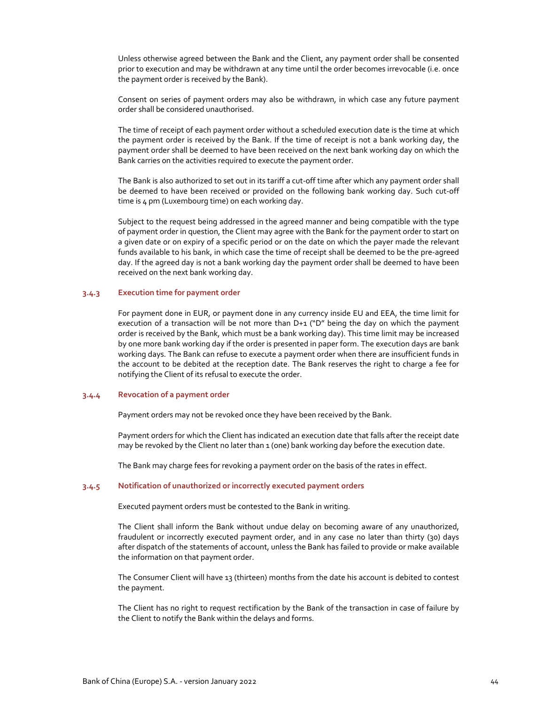Unless otherwise agreed between the Bank and the Client, any payment order shall be consented prior to execution and may be withdrawn at any time until the order becomes irrevocable (i.e. once the payment order is received by the Bank).

Consent on series of payment orders may also be withdrawn, in which case any future payment order shall be considered unauthorised.

The time of receipt of each payment order without a scheduled execution date is the time at which the payment order is received by the Bank. If the time of receipt is not a bank working day, the payment order shall be deemed to have been received on the next bank working day on which the Bank carries on the activities required to execute the payment order.

The Bank is also authorized to set out in its tariff a cut‐off time after which any payment order shall be deemed to have been received or provided on the following bank working day. Such cut‐off time is 4 pm (Luxembourg time) on each working day.

Subject to the request being addressed in the agreed manner and being compatible with the type of payment order in question, the Client may agree with the Bank for the payment order to start on a given date or on expiry of a specific period or on the date on which the payer made the relevant funds available to his bank, in which case the time of receipt shall be deemed to be the pre‐agreed day. If the agreed day is not a bank working day the payment order shall be deemed to have been received on the next bank working day.

## **3.4.3 Execution time for payment order**

For payment done in EUR, or payment done in any currency inside EU and EEA, the time limit for execution of a transaction will be not more than D+1 ("D" being the day on which the payment order is received by the Bank, which must be a bank working day). This time limit may be increased by one more bank working day if the order is presented in paper form. The execution days are bank working days. The Bank can refuse to execute a payment order when there are insufficient funds in the account to be debited at the reception date. The Bank reserves the right to charge a fee for notifying the Client of its refusal to execute the order.

### **3.4.4 Revocation of a payment order**

Payment orders may not be revoked once they have been received by the Bank.

Payment orders for which the Client has indicated an execution date that falls after the receipt date may be revoked by the Client no later than 1 (one) bank working day before the execution date.

The Bank may charge fees for revoking a payment order on the basis of the rates in effect.

### **3.4.5 Notification of unauthorized or incorrectly executed payment orders**

Executed payment orders must be contested to the Bank in writing.

The Client shall inform the Bank without undue delay on becoming aware of any unauthorized, fraudulent or incorrectly executed payment order, and in any case no later than thirty (30) days after dispatch of the statements of account, unless the Bank has failed to provide or make available the information on that payment order.

The Consumer Client will have 13 (thirteen) months from the date his account is debited to contest the payment.

The Client has no right to request rectification by the Bank of the transaction in case of failure by the Client to notify the Bank within the delays and forms.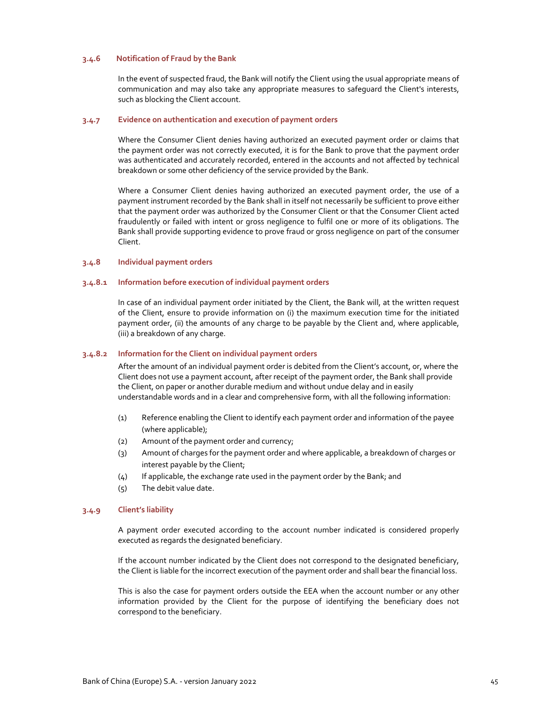## **3.4.6 Notification of Fraud by the Bank**

In the event of suspected fraud, the Bank will notify the Client using the usual appropriate means of communication and may also take any appropriate measures to safeguard the Client's interests, such as blocking the Client account.

## **3.4.7 Evidence on authentication and execution of payment orders**

Where the Consumer Client denies having authorized an executed payment order or claims that the payment order was not correctly executed, it is for the Bank to prove that the payment order was authenticated and accurately recorded, entered in the accounts and not affected by technical breakdown or some other deficiency of the service provided by the Bank.

Where a Consumer Client denies having authorized an executed payment order, the use of a payment instrument recorded by the Bank shall in itself not necessarily be sufficient to prove either that the payment order was authorized by the Consumer Client or that the Consumer Client acted fraudulently or failed with intent or gross negligence to fulfil one or more of its obligations. The Bank shall provide supporting evidence to prove fraud or gross negligence on part of the consumer Client.

## **3.4.8 Individual payment orders**

## **3.4.8.1 Information before execution of individual payment orders**

In case of an individual payment order initiated by the Client, the Bank will, at the written request of the Client, ensure to provide information on (i) the maximum execution time for the initiated payment order, (ii) the amounts of any charge to be payable by the Client and, where applicable, (iii) a breakdown of any charge.

### **3.4.8.2 Information for the Client on individual payment orders**

After the amount of an individual payment order is debited from the Client's account, or, where the Client does not use a payment account, after receipt of the payment order, the Bank shall provide the Client, on paper or another durable medium and without undue delay and in easily understandable words and in a clear and comprehensive form, with all the following information:

- (1) Reference enabling the Client to identify each payment order and information of the payee (where applicable);
- (2) Amount of the payment order and currency;
- (3) Amount of charges for the payment order and where applicable, a breakdown of charges or interest payable by the Client;
- (4) If applicable, the exchange rate used in the payment order by the Bank; and
- (5) The debit value date.

## **3.4.9 Client's liability**

A payment order executed according to the account number indicated is considered properly executed as regards the designated beneficiary.

If the account number indicated by the Client does not correspond to the designated beneficiary, the Client is liable for the incorrect execution of the payment order and shall bear the financial loss.

This is also the case for payment orders outside the EEA when the account number or any other information provided by the Client for the purpose of identifying the beneficiary does not correspond to the beneficiary.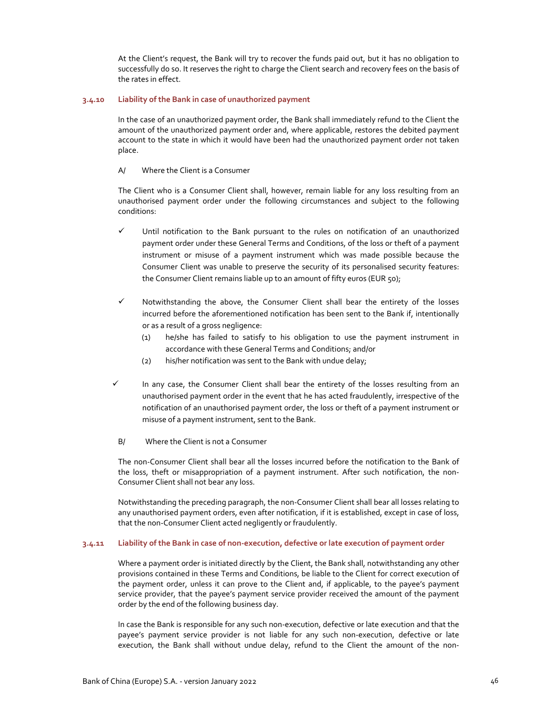At the Client's request, the Bank will try to recover the funds paid out, but it has no obligation to successfully do so. It reserves the right to charge the Client search and recovery fees on the basis of the rates in effect.

## **3.4.10 Liability of the Bank in case of unauthorized payment**

In the case of an unauthorized payment order, the Bank shall immediately refund to the Client the amount of the unauthorized payment order and, where applicable, restores the debited payment account to the state in which it would have been had the unauthorized payment order not taken place.

## A/ Where the Client is a Consumer

The Client who is a Consumer Client shall, however, remain liable for any loss resulting from an unauthorised payment order under the following circumstances and subject to the following conditions:

- $\checkmark$  Until notification to the Bank pursuant to the rules on notification of an unauthorized payment order under these General Terms and Conditions, of the loss or theft of a payment instrument or misuse of a payment instrument which was made possible because the Consumer Client was unable to preserve the security of its personalised security features: the Consumer Client remains liable up to an amount of fifty euros (EUR 50);
- $\checkmark$  Notwithstanding the above, the Consumer Client shall bear the entirety of the losses incurred before the aforementioned notification has been sent to the Bank if, intentionally or as a result of a gross negligence:
	- (1) he/she has failed to satisfy to his obligation to use the payment instrument in accordance with these General Terms and Conditions; and/or
	- (2) his/her notification was sent to the Bank with undue delay;
- $\checkmark$  In any case, the Consumer Client shall bear the entirety of the losses resulting from an unauthorised payment order in the event that he has acted fraudulently, irrespective of the notification of an unauthorised payment order, the loss or theft of a payment instrument or misuse of a payment instrument, sent to the Bank.
- B/ Where the Client is not a Consumer

The non‐Consumer Client shall bear all the losses incurred before the notification to the Bank of the loss, theft or misappropriation of a payment instrument. After such notification, the non‐ Consumer Client shall not bear any loss.

Notwithstanding the preceding paragraph, the non‐Consumer Client shall bear all losses relating to any unauthorised payment orders, even after notification, if it is established, except in case of loss, that the non‐Consumer Client acted negligently or fraudulently.

## 3.4.11 Liability of the Bank in case of non-execution, defective or late execution of payment order

Where a payment order is initiated directly by the Client, the Bank shall, notwithstanding any other provisions contained in these Terms and Conditions, be liable to the Client for correct execution of the payment order, unless it can prove to the Client and, if applicable, to the payee's payment service provider, that the payee's payment service provider received the amount of the payment order by the end of the following business day.

In case the Bank is responsible for any such non‐execution, defective or late execution and that the payee's payment service provider is not liable for any such non-execution, defective or late execution, the Bank shall without undue delay, refund to the Client the amount of the non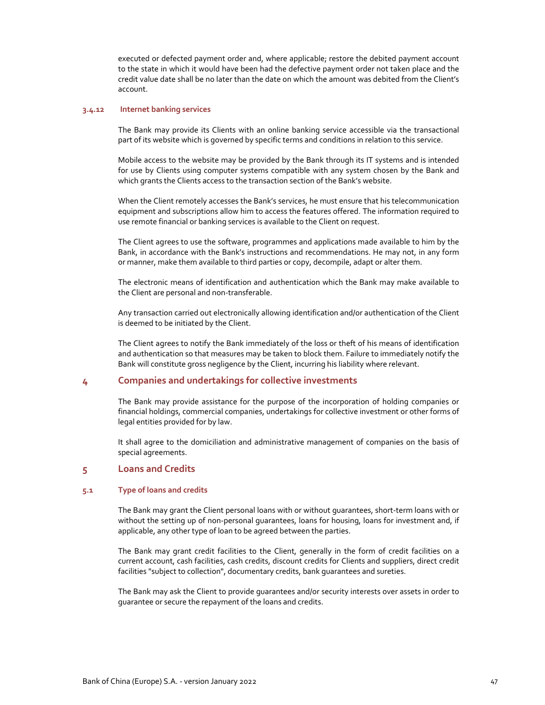executed or defected payment order and, where applicable; restore the debited payment account to the state in which it would have been had the defective payment order not taken place and the credit value date shall be no later than the date on which the amount was debited from the Client's account.

### **3.4.12 Internet banking services**

The Bank may provide its Clients with an online banking service accessible via the transactional part of its website which is governed by specific terms and conditions in relation to this service.

Mobile access to the website may be provided by the Bank through its IT systems and is intended for use by Clients using computer systems compatible with any system chosen by the Bank and which grants the Clients access to the transaction section of the Bank's website.

When the Client remotely accesses the Bank's services, he must ensure that his telecommunication equipment and subscriptions allow him to access the features offered. The information required to use remote financial or banking services is available to the Client on request.

The Client agrees to use the software, programmes and applications made available to him by the Bank, in accordance with the Bank's instructions and recommendations. He may not, in any form or manner, make them available to third parties or copy, decompile, adapt or alter them.

The electronic means of identification and authentication which the Bank may make available to the Client are personal and non-transferable.

Any transaction carried out electronically allowing identification and/or authentication of the Client is deemed to be initiated by the Client.

The Client agrees to notify the Bank immediately of the loss or theft of his means of identification and authentication so that measures may be taken to block them. Failure to immediately notify the Bank will constitute gross negligence by the Client, incurring his liability where relevant.

## **4 Companies and undertakings for collective investments**

The Bank may provide assistance for the purpose of the incorporation of holding companies or financial holdings, commercial companies, undertakings for collective investment or other forms of legal entities provided for by law.

It shall agree to the domiciliation and administrative management of companies on the basis of special agreements.

# **5 Loans and Credits**

## **5.1 Type of loans and credits**

The Bank may grant the Client personal loans with or without guarantees, short‐term loans with or without the setting up of non-personal quarantees, loans for housing, loans for investment and, if applicable, any other type of loan to be agreed between the parties.

The Bank may grant credit facilities to the Client, generally in the form of credit facilities on a current account, cash facilities, cash credits, discount credits for Clients and suppliers, direct credit facilities "subject to collection", documentary credits, bank guarantees and sureties.

The Bank may ask the Client to provide guarantees and/or security interests over assets in order to guarantee or secure the repayment of the loans and credits.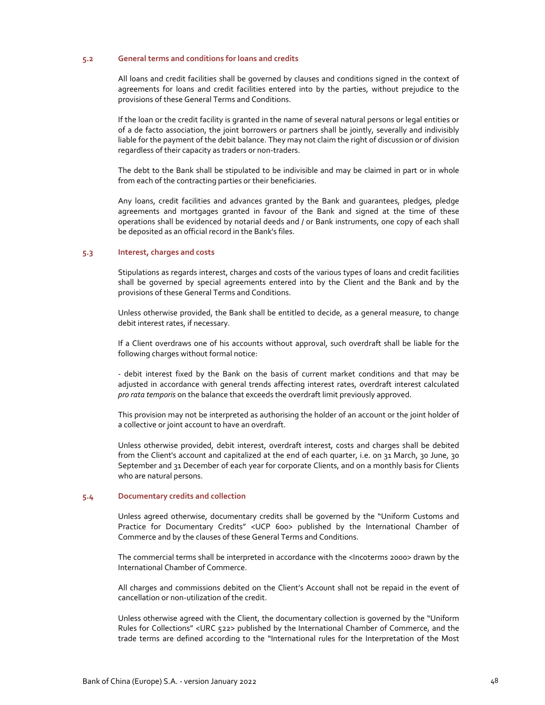## **5.2 General terms and conditions for loans and credits**

All loans and credit facilities shall be governed by clauses and conditions signed in the context of agreements for loans and credit facilities entered into by the parties, without prejudice to the provisions of these General Terms and Conditions.

If the loan or the credit facility is granted in the name of several natural persons or legal entities or of a de facto association, the joint borrowers or partners shall be jointly, severally and indivisibly liable for the payment of the debit balance. They may not claim the right of discussion or of division regardless of their capacity as traders or non‐traders.

The debt to the Bank shall be stipulated to be indivisible and may be claimed in part or in whole from each of the contracting parties or their beneficiaries.

Any loans, credit facilities and advances granted by the Bank and guarantees, pledges, pledge agreements and mortgages granted in favour of the Bank and signed at the time of these operations shall be evidenced by notarial deeds and / or Bank instruments, one copy of each shall be deposited as an official record in the Bank's files.

## **5.3 Interest, charges and costs**

Stipulations as regards interest, charges and costs of the various types of loans and credit facilities shall be governed by special agreements entered into by the Client and the Bank and by the provisions of these General Terms and Conditions.

Unless otherwise provided, the Bank shall be entitled to decide, as a general measure, to change debit interest rates, if necessary.

If a Client overdraws one of his accounts without approval, such overdraft shall be liable for the following charges without formal notice:

‐ debit interest fixed by the Bank on the basis of current market conditions and that may be adjusted in accordance with general trends affecting interest rates, overdraft interest calculated *pro rata temporis* on the balance that exceeds the overdraft limit previously approved.

This provision may not be interpreted as authorising the holder of an account or the joint holder of a collective or joint account to have an overdraft.

Unless otherwise provided, debit interest, overdraft interest, costs and charges shall be debited from the Client's account and capitalized at the end of each quarter, i.e. on 31 March, 30 June, 30 September and 31 December of each year for corporate Clients, and on a monthly basis for Clients who are natural persons.

## **5.4 Documentary credits and collection**

Unless agreed otherwise, documentary credits shall be governed by the "Uniform Customs and Practice for Documentary Credits" <UCP 600> published by the International Chamber of Commerce and by the clauses of these General Terms and Conditions.

The commercial terms shall be interpreted in accordance with the <Incoterms 2000> drawn by the International Chamber of Commerce.

All charges and commissions debited on the Client's Account shall not be repaid in the event of cancellation or non‐utilization of the credit.

Unless otherwise agreed with the Client, the documentary collection is governed by the "Uniform Rules for Collections" <URC 522> published by the International Chamber of Commerce, and the trade terms are defined according to the "International rules for the Interpretation of the Most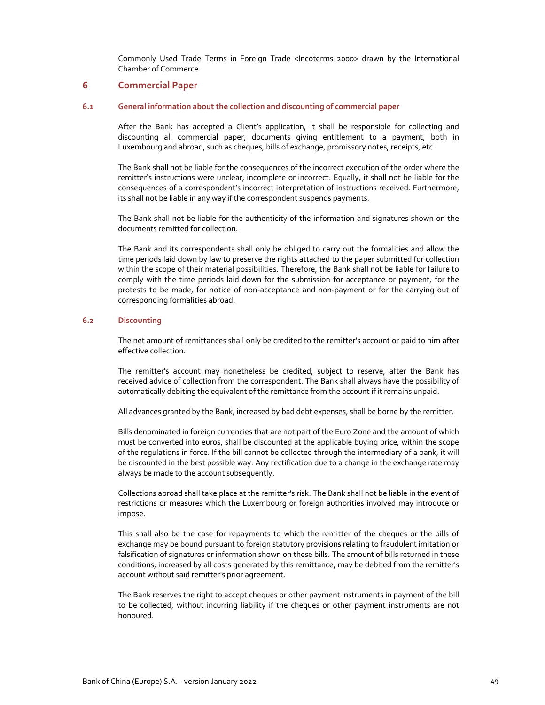Commonly Used Trade Terms in Foreign Trade <Incoterms 2000> drawn by the International Chamber of Commerce.

## **6 Commercial Paper**

## **6.1 General information about the collection and discounting of commercial paper**

After the Bank has accepted a Client's application, it shall be responsible for collecting and discounting all commercial paper, documents giving entitlement to a payment, both in Luxembourg and abroad, such as cheques, bills of exchange, promissory notes, receipts, etc.

The Bank shall not be liable for the consequences of the incorrect execution of the order where the remitter's instructions were unclear, incomplete or incorrect. Equally, it shall not be liable for the consequences of a correspondent's incorrect interpretation of instructions received. Furthermore, its shall not be liable in any way if the correspondent suspends payments.

The Bank shall not be liable for the authenticity of the information and signatures shown on the documents remitted for collection.

The Bank and its correspondents shall only be obliged to carry out the formalities and allow the time periods laid down by law to preserve the rights attached to the paper submitted for collection within the scope of their material possibilities. Therefore, the Bank shall not be liable for failure to comply with the time periods laid down for the submission for acceptance or payment, for the protests to be made, for notice of non‐acceptance and non‐payment or for the carrying out of corresponding formalities abroad.

## **6.2 Discounting**

The net amount of remittances shall only be credited to the remitter's account or paid to him after effective collection.

The remitter's account may nonetheless be credited, subject to reserve, after the Bank has received advice of collection from the correspondent. The Bank shall always have the possibility of automatically debiting the equivalent of the remittance from the account if it remains unpaid.

All advances granted by the Bank, increased by bad debt expenses, shall be borne by the remitter.

Bills denominated in foreign currencies that are not part of the Euro Zone and the amount of which must be converted into euros, shall be discounted at the applicable buying price, within the scope of the regulations in force. If the bill cannot be collected through the intermediary of a bank, it will be discounted in the best possible way. Any rectification due to a change in the exchange rate may always be made to the account subsequently.

Collections abroad shall take place at the remitter's risk. The Bank shall not be liable in the event of restrictions or measures which the Luxembourg or foreign authorities involved may introduce or impose.

This shall also be the case for repayments to which the remitter of the cheques or the bills of exchange may be bound pursuant to foreign statutory provisions relating to fraudulent imitation or falsification of signatures or information shown on these bills. The amount of bills returned in these conditions, increased by all costs generated by this remittance, may be debited from the remitter's account without said remitter's prior agreement.

The Bank reserves the right to accept cheques or other payment instruments in payment of the bill to be collected, without incurring liability if the cheques or other payment instruments are not honoured.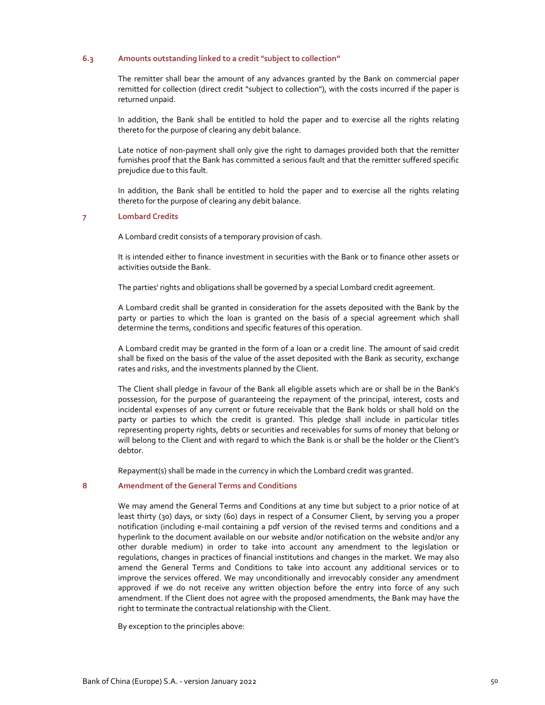## **6.3 Amounts outstanding linked to a credit "subject to collection"**

The remitter shall bear the amount of any advances granted by the Bank on commercial paper remitted for collection (direct credit "subject to collection"), with the costs incurred if the paper is returned unpaid.

In addition, the Bank shall be entitled to hold the paper and to exercise all the rights relating thereto for the purpose of clearing any debit balance.

Late notice of non-payment shall only give the right to damages provided both that the remitter furnishes proof that the Bank has committed a serious fault and that the remitter suffered specific prejudice due to this fault.

In addition, the Bank shall be entitled to hold the paper and to exercise all the rights relating thereto for the purpose of clearing any debit balance.

### **7 Lombard Credits**

A Lombard credit consists of a temporary provision of cash.

It is intended either to finance investment in securities with the Bank or to finance other assets or activities outside the Bank.

The parties' rights and obligations shall be governed by a special Lombard credit agreement.

A Lombard credit shall be granted in consideration for the assets deposited with the Bank by the party or parties to which the loan is granted on the basis of a special agreement which shall determine the terms, conditions and specific features of this operation.

A Lombard credit may be granted in the form of a loan or a credit line. The amount of said credit shall be fixed on the basis of the value of the asset deposited with the Bank as security, exchange rates and risks, and the investments planned by the Client.

The Client shall pledge in favour of the Bank all eligible assets which are or shall be in the Bank's possession, for the purpose of guaranteeing the repayment of the principal, interest, costs and incidental expenses of any current or future receivable that the Bank holds or shall hold on the party or parties to which the credit is granted. This pledge shall include in particular titles representing property rights, debts or securities and receivables for sums of money that belong or will belong to the Client and with regard to which the Bank is or shall be the holder or the Client's debtor.

Repayment(s) shall be made in the currency in which the Lombard credit was granted.

#### **8 Amendment of the General Terms and Conditions**

We may amend the General Terms and Conditions at any time but subject to a prior notice of at least thirty (30) days, or sixty (60) days in respect of a Consumer Client, by serving you a proper notification (including e‐mail containing a pdf version of the revised terms and conditions and a hyperlink to the document available on our website and/or notification on the website and/or any other durable medium) in order to take into account any amendment to the legislation or regulations, changes in practices of financial institutions and changes in the market. We may also amend the General Terms and Conditions to take into account any additional services or to improve the services offered. We may unconditionally and irrevocably consider any amendment approved if we do not receive any written objection before the entry into force of any such amendment. If the Client does not agree with the proposed amendments, the Bank may have the right to terminate the contractual relationship with the Client.

By exception to the principles above: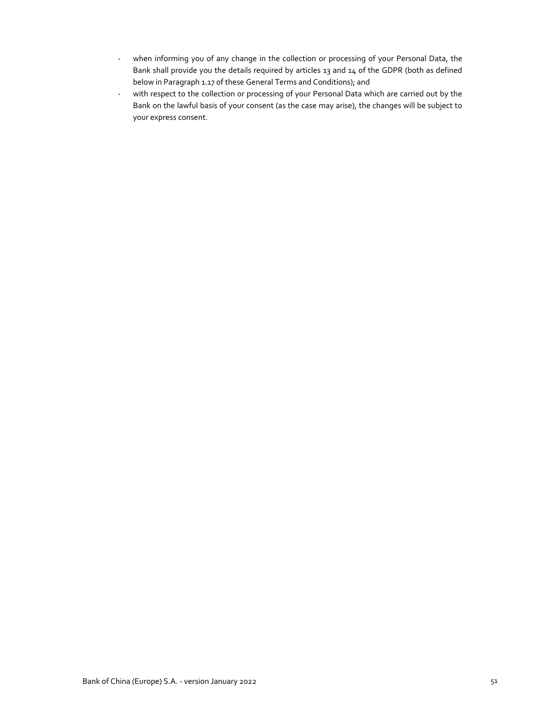- ‐ when informing you of any change in the collection or processing of your Personal Data, the Bank shall provide you the details required by articles 13 and 14 of the GDPR (both as defined below in Paragraph 1.17 of these General Terms and Conditions); and
- ‐ with respect to the collection or processing of your Personal Data which are carried out by the Bank on the lawful basis of your consent (as the case may arise), the changes will be subject to your express consent.